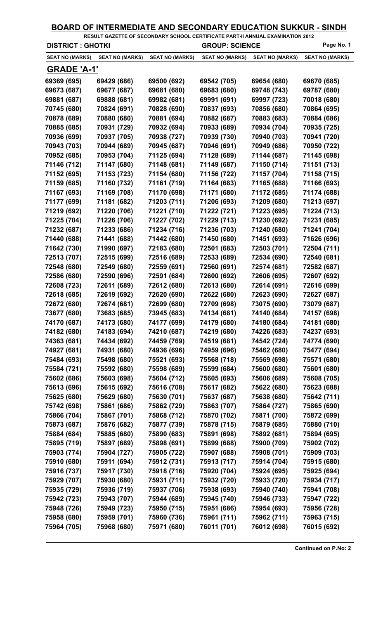| <u>BOARD OF INTERMEDIATE AND SECONDARY EDUCATION SUKKUR - SINDH</u><br>RESULT GAZETTE OF SECONDARY SCHOOL CERTIFICATE PART-II ANNUAL EXAMINATION 2012 |                        |                        |                                     |                        |                        |  |
|-------------------------------------------------------------------------------------------------------------------------------------------------------|------------------------|------------------------|-------------------------------------|------------------------|------------------------|--|
| <b>DISTRICT: GHOTKI</b>                                                                                                                               |                        |                        | Page No. 1<br><b>GROUP: SCIENCE</b> |                        |                        |  |
| <b>SEAT NO (MARKS)</b>                                                                                                                                | <b>SEAT NO (MARKS)</b> | <b>SEAT NO (MARKS)</b> | <b>SEAT NO (MARKS)</b>              | <b>SEAT NO (MARKS)</b> | <b>SEAT NO (MARKS)</b> |  |
| <b>GRADE 'A-1'</b>                                                                                                                                    |                        |                        |                                     |                        |                        |  |
| 69369 (695)                                                                                                                                           | 69429 (686)            | 69500 (692)            | 69542 (705)                         | 69654 (680)            | 69670 (685)            |  |
| 69673 (687)                                                                                                                                           | 69677 (687)            | 69681 (680)            | 69683 (680)                         | 69748 (743)            | 69787 (680)            |  |
| 69881 (687)                                                                                                                                           | 69888 (681)            | 69982 (681)            | 69991 (691)                         | 69997 (723)            | 70018 (680)            |  |
| 70745 (680)                                                                                                                                           | 70824 (691)            | 70828 (690)            | 70837 (693)                         | 70856 (680)            | 70864 (695)            |  |
| 70878 (689)                                                                                                                                           | 70880 (680)            | 70881 (694)            | 70882 (687)                         | 70883 (683)            | 70884 (686)            |  |
| 70885 (685)                                                                                                                                           | 70931 (729)            | 70932 (694)            | 70933 (689)                         | 70934 (704)            | 70935 (725)            |  |
| 70936 (699)                                                                                                                                           | 70937 (705)            | 70938 (727)            | 70939 (730)                         | 70940 (703)            | 70941 (720)            |  |
| 70943 (703)                                                                                                                                           | 70944 (689)            | 70945 (687)            | 70946 (691)                         | 70949 (686)            | 70950 (722)            |  |
| 70952 (685)                                                                                                                                           | 70953 (704)            | 71125 (694)            | 71128 (689)                         | 71144 (687)            | 71145 (698)            |  |
| 71146 (712)                                                                                                                                           | 71147 (680)            | 71148 (681)            | 71149 (687)                         | 71150 (714)            | 71151 (713)            |  |
| 71152 (695)                                                                                                                                           | 71153 (723)            | 71154 (680)            | 71156 (722)                         | 71157 (704)            | 71158 (715)            |  |
| 71159 (685)                                                                                                                                           | 71160 (732)            | 71161 (719)            | 71164 (683)                         | 71165 (688)            | 71166 (693)            |  |
| 71167 (693)                                                                                                                                           | 71169 (708)            | 71170 (698)            | 71171 (680)                         | 71172 (685)            | 71174 (688)            |  |
| 71177 (699)                                                                                                                                           | 71181 (682)            | 71203 (711)            | 71206 (693)                         | 71209 (680)            | 71213 (697)            |  |
| 71219 (692)                                                                                                                                           | 71220 (706)            | 71221 (710)            | 71222 (721)                         | 71223 (695)            | 71224 (713)            |  |
| 71225 (704)                                                                                                                                           | 71226 (706)            | 71227 (702)            | 71229 (713)                         | 71230 (692)            | 71231 (685)            |  |
| 71232 (687)                                                                                                                                           | 71233 (686)            | 71234 (716)            | 71236 (703)                         | 71240 (680)            | 71241 (704)            |  |
| 71440 (688)                                                                                                                                           | 71441 (688)            | 71442 (680)            | 71450 (680)                         | 71451 (693)            | 71626 (696)            |  |
| 71642 (730)                                                                                                                                           | 71990 (697)            | 72183 (680)            | 72501 (683)                         | 72503 (701)            | 72504 (711)            |  |
| 72513 (707)                                                                                                                                           | 72515 (699)            | 72516 (689)            | 72533 (689)                         | 72534 (690)            | 72540 (681)            |  |
| 72548 (680)                                                                                                                                           | 72549 (680)            | 72559 (691)            | 72560 (691)                         | 72574 (681)            | 72582 (687)            |  |
| 72586 (680)                                                                                                                                           | 72590 (696)            | 72591 (684)            | 72600 (692)                         | 72606 (695)            | 72607 (692)            |  |
| 72608 (723)                                                                                                                                           | 72611 (689)            | 72612 (680)            | 72613 (680)                         | 72614 (691)            | 72616 (699)            |  |
| 72618 (685)                                                                                                                                           | 72619 (692)            | 72620 (690)            | 72622 (680)                         | 72623 (690)            | 72627 (687)            |  |
| 72672 (680)                                                                                                                                           | 72674 (681)            | 72699 (680)            | 72709 (698)                         | 73075 (690)            | 73079 (687)            |  |
| 73677 (680)                                                                                                                                           | 73683 (685)            | 73945 (683)            | 74134 (681)                         | 74140 (684)            | 74157 (698)            |  |
| 74170 (687)                                                                                                                                           | 74173 (680)            | 74177 (699)            | 74179 (680)                         | 74180 (684)            | 74181 (680)            |  |
| 74182 (680)                                                                                                                                           | 74183 (694)            | 74210 (687)            | 74219 (680)                         | 74226 (683)            | 74237 (693)            |  |
| 74363 (681)                                                                                                                                           | 74434 (692)            | 74459 (769)            | 74519 (681)                         | 74542 (724)            | 74774 (690)            |  |
| 74927 (681)                                                                                                                                           | 74931 (680)            | 74936 (696)            | 74959 (696)                         | 75462 (680)            | 75477 (694)            |  |
| 75484 (693)                                                                                                                                           | 75498 (680)            | 75521 (693)            | 75568 (718)                         | 75569 (698)            | 75571 (680)            |  |
| 75584 (721)                                                                                                                                           | 75592 (680)            | 75598 (689)            | 75599 (684)                         | 75600 (680)            | 75601 (680)            |  |
| 75602 (686)                                                                                                                                           | 75603 (698)            | 75604 (712)            | 75605 (693)                         | 75606 (689)            | 75608 (705)            |  |
| 75613 (696)                                                                                                                                           | 75615 (692)            | 75616 (708)            | 75617 (682)                         | 75622 (680)            | 75623 (688)            |  |
| 75625 (680)                                                                                                                                           | 75629 (680)            | 75630 (701)            | 75637 (687)                         | 75638 (680)            | 75642 (711)            |  |
| 75742 (698)                                                                                                                                           | 75861 (686)            | 75862 (729)            | 75863 (707)                         | 75864 (727)            | 75865 (690)            |  |
| 75866 (704)                                                                                                                                           | 75867 (701)            | 75868 (712)            | 75870 (702)                         | 75871 (700)            | 75872 (699)            |  |
| 75873 (687)                                                                                                                                           | 75876 (682)            | 75877 (739)            | 75878 (715)                         | 75879 (685)            | 75880 (710)            |  |
| 75884 (684)                                                                                                                                           | 75885 (680)            | 75890 (683)            | 75891 (698)                         | 75892 (681)            | 75894 (695)            |  |
| 75895 (719)                                                                                                                                           | 75897 (689)            | 75898 (691)            | 75899 (688)                         | 75900 (709)            | 75902 (702)            |  |
| 75903 (774)                                                                                                                                           | 75904 (727)            | 75905 (722)            | 75907 (688)                         | 75908 (701)            | 75909 (703)            |  |
| 75910 (680)                                                                                                                                           | 75911 (694)            | 75912 (731)            | 75913 (717)                         | 75914 (704)            | 75915 (680)            |  |
| 75916 (737)                                                                                                                                           | 75917 (730)            | 75918 (716)            | 75920 (704)                         | 75924 (695)            | 75925 (694)            |  |
| 75929 (707)                                                                                                                                           | 75930 (680)            | 75931 (711)            | 75932 (720)                         | 75933 (720)            | 75934 (717)            |  |
| 75935 (729)                                                                                                                                           | 75936 (719)            | 75937 (706)            | 75938 (693)                         | 75940 (740)            | 75941 (708)            |  |
| 75942 (723)                                                                                                                                           | 75943 (707)            | 75944 (689)            | 75945 (740)                         | 75946 (733)            | 75947 (722)            |  |
| 75948 (726)                                                                                                                                           | 75949 (723)            | 75950 (715)            | 75951 (686)                         | 75954 (693)            | 75956 (728)            |  |
| 75958 (680)                                                                                                                                           | 75959 (701)            | 75960 (736)            | 75961 (711)                         | 75962 (711)            | 75963 (715)            |  |
| 75964 (705)                                                                                                                                           | 75968 (680)            | 75971 (680)            | 76011 (701)                         | 76012 (698)            | 76015 (692)            |  |
|                                                                                                                                                       |                        |                        |                                     |                        |                        |  |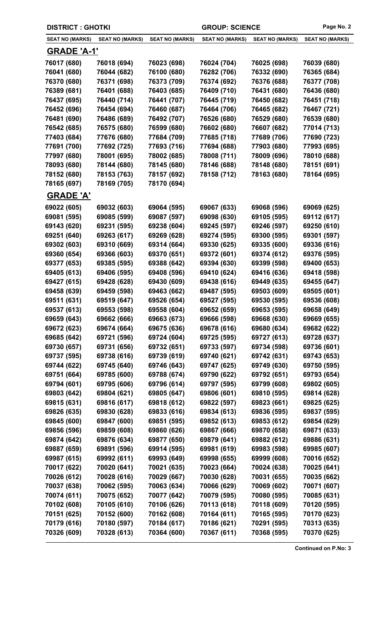| <b>DISTRICT: GHOTKI</b> |                        |                        | <b>GROUP: SCIENCE</b>  | Page No. 2             |                        |
|-------------------------|------------------------|------------------------|------------------------|------------------------|------------------------|
| <b>SEAT NO (MARKS)</b>  | <b>SEAT NO (MARKS)</b> | <b>SEAT NO (MARKS)</b> | <b>SEAT NO (MARKS)</b> | <b>SEAT NO (MARKS)</b> | <b>SEAT NO (MARKS)</b> |
| <b>GRADE 'A-1'</b>      |                        |                        |                        |                        |                        |
| 76017 (680)             | 76018 (694)            | 76023 (698)            | 76024 (704)            | 76025 (698)            | 76039 (680)            |
| 76041 (680)             | 76044 (682)            | 76100 (680)            | 76282 (706)            | 76332 (690)            | 76365 (684)            |
| 76370 (680)             | 76371 (698)            | 76373 (709)            | 76374 (692)            | 76376 (688)            | 76377 (708)            |
| 76389 (681)             | 76401 (688)            | 76403 (685)            | 76409 (710)            | 76431 (680)            | 76436 (680)            |
| 76437 (695)             | 76440 (714)            | 76441 (707)            | 76445 (719)            | 76450 (682)            | 76451 (718)            |
| 76452 (696)             | 76454 (694)            | 76460 (687)            | 76464 (706)            | 76465 (682)            | 76467 (721)            |
| 76481 (690)             | 76486 (689)            | 76492 (707)            | 76526 (680)            | 76529 (680)            | 76539 (680)            |
| 76542 (685)             | 76575 (680)            | 76599 (680)            | 76602 (680)            | 76607 (682)            | 77014 (713)            |
| 77403 (684)             | 77676 (680)            | 77684 (709)            | 77685 (718)            | 77689 (706)            | 77690 (723)            |
| 77691 (700)             | 77692 (725)            | 77693 (716)            | 77694 (688)            | 77903 (680)            | 77993 (695)            |
| 77997 (680)             | 78001 (695)            | 78002 (685)            | 78008 (711)            | 78009 (696)            | 78010 (688)            |
| 78093 (680)             | 78144 (680)            | 78145 (680)            | 78146 (688)            | 78148 (680)            | 78151 (691)            |
| 78152 (680)             | 78153 (763)            | 78157 (692)            | 78158 (712)            | 78163 (680)            | 78164 (695)            |
| 78165 (697)             | 78169 (705)            | 78170 (694)            |                        |                        |                        |
| <b>GRADE 'A'</b>        |                        |                        |                        |                        |                        |
| 69022 (605)             | 69032 (603)            | 69064 (595)            | 69067 (633)            | 69068 (596)            | 69069 (625)            |
| 69081 (595)             | 69085 (599)            | 69087 (597)            | 69098 (630)            | 69105 (595)            | 69112 (617)            |
| 69143 (620)             | 69231 (595)            | 69238 (604)            | 69245 (597)            | 69246 (597)            | 69250 (610)            |
| 69251 (640)             | 69263 (617)            | 69269 (628)            | 69274 (595)            | 69300 (595)            | 69301 (597)            |
| 69302 (603)             | 69310 (669)            | 69314 (664)            | 69330 (625)            | 69335 (600)            | 69336 (616)            |
| 69360 (654)             | 69366 (603)            | 69370 (651)            | 69372 (601)            | 69374 (612)            | 69376 (595)            |
| 69377 (653)             | 69385 (595)            | 69388 (642)            | 69394 (630)            | 69399 (598)            | 69400 (653)            |
| 69405 (613)             | 69406 (595)            | 69408 (596)            | 69410 (624)            | 69416 (636)            | 69418 (598)            |
| 69427 (615)             | 69428 (628)            | 69430 (609)            | 69438 (616)            | 69449 (635)            | 69455 (647)            |
| 69458 (639)             | 69459 (598)            | 69463 (662)            | 69487 (595)            | 69503 (609)            | 69505 (601)            |
| 69511 (631)             | 69519 (647)            | 69526 (654)            | 69527 (595)            | 69530 (595)            | 69536 (608)            |
| 69537 (613)             | 69553 (598)            | 69558 (604)            | 69652 (659)            | 69653 (595)            | 69658 (649)            |
| 69659 (643)             | 69662 (666)            | 69663 (673)            | 69666 (598)            | 69668 (630)            | 69669 (655)            |
| 69672 (623)             | 69674 (664)            | 69675 (636)            | 69678 (616)            | 69680 (634)            | 69682 (622)            |
| 69685 (642)             | 69721 (596)            | 69724 (604)            | 69725 (595)            | 69727 (613)            | 69728 (637)            |
| 69730 (657)             | 69731 (656)            | 69732 (651)            | 69733 (597)            | 69734 (598)            | 69736 (601)            |
| 69737 (595)             | 69738 (616)            | 69739 (619)            | 69740 (621)            | 69742 (631)            | 69743 (653)            |
| 69744 (622)             | 69745 (640)            | 69746 (643)            | 69747 (625)            | 69749 (630)            | 69750 (595)            |
| 69751 (664)             | 69785 (600)            | 69788 (674)            | 69790 (622)            | 69792 (651)            | 69793 (654)            |
| 69794 (601)             | 69795 (606)            | 69796 (614)            | 69797 (595)            | 69799 (608)            | 69802 (605)            |
| 69803 (642)             | 69804 (621)            | 69805 (647)            | 69806 (601)            | 69810 (595)            | 69814 (628)            |
| 69815 (631)             | 69816 (617)            | 69818 (612)            | 69822 (597)            | 69823 (661)            | 69825 (625)            |
| 69826 (635)             | 69830 (628)            | 69833 (616)            | 69834 (613)            | 69836 (595)            | 69837 (595)            |
| 69845 (600)             | 69847 (600)            | 69851 (595)            | 69852 (613)            | 69853 (612)            | 69854 (629)            |
| 69856 (596)             | 69859 (608)            | 69860 (626)            | 69867 (666)            | 69870 (658)            | 69871 (633)            |
| 69874 (642)             | 69876 (634)            | 69877 (650)            | 69879 (641)            | 69882 (612)            | 69886 (631)            |
| 69887 (659)             | 69891 (596)            | 69914 (595)            | 69981 (619)            | 69983 (598)            | 69985 (607)            |
| 69987 (615)             | 69992 (611)            | 69993 (649)            | 69998 (655)            | 69999 (608)            | 70016 (652)            |
| 70017 (622)             | 70020 (641)            | 70021 (635)            | 70023 (664)            | 70024 (638)            | 70025 (641)            |
| 70026 (612)             | 70028 (616)            | 70029 (667)            | 70030 (628)            | 70031 (655)            | 70035 (662)            |
| 70037 (638)             | 70062 (595)            | 70063 (634)            | 70066 (629)            | 70069 (602)            | 70071 (607)            |
| 70074 (611)             | 70075 (652)            | 70077 (642)            | 70079 (595)            | 70080 (595)            | 70085 (631)            |
| 70102 (608)             | 70105 (610)            | 70106 (626)            | 70113 (618)            | 70118 (609)            | 70120 (595)            |
| 70151 (625)             | 70152 (600)            | 70162 (608)            | 70164 (611)            | 70165 (595)            | 70170 (623)            |
| 70179 (616)             | 70180 (597)            | 70184 (617)            | 70186 (621)            | 70291 (595)            | 70313 (635)            |
| 70326 (609)             | 70328 (613)            | 70364 (600)            | 70367 (611)            | 70368 (595)            | 70370 (625)            |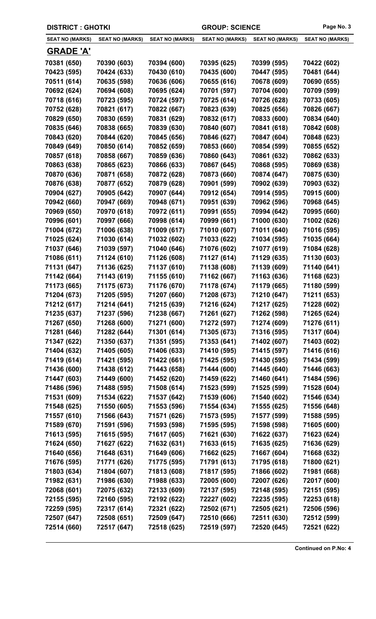| <b>DISTRICT : GHOTKI</b> |                        |                        | <b>GROUP: SCIENCE</b>  | Page No. 3             |                        |
|--------------------------|------------------------|------------------------|------------------------|------------------------|------------------------|
| <b>SEAT NO (MARKS)</b>   | <b>SEAT NO (MARKS)</b> | <b>SEAT NO (MARKS)</b> | <b>SEAT NO (MARKS)</b> | <b>SEAT NO (MARKS)</b> | <b>SEAT NO (MARKS)</b> |
| <b>GRADE 'A'</b>         |                        |                        |                        |                        |                        |
| 70381 (650)              | 70390 (603)            | 70394 (600)            | 70395 (625)            | 70399 (595)            | 70422 (602)            |
| 70423 (595)              | 70424 (633)            | 70430 (610)            | 70435 (600)            | 70447 (595)            | 70481 (644)            |
| 70511 (614)              | 70635 (598)            | 70636 (606)            | 70655 (616)            | 70678 (609)            | 70690 (655)            |
| 70692 (624)              | 70694 (608)            | 70695 (624)            | 70701 (597)            | 70704 (600)            | 70709 (599)            |
| 70718 (616)              | 70723 (595)            | 70724 (597)            | 70725 (614)            | 70726 (628)            | 70733 (605)            |
| 70752 (628)              | 70821 (617)            | 70822 (667)            | 70823 (639)            | 70825 (656)            | 70826 (667)            |
| 70829 (650)              | 70830 (659)            | 70831 (629)            | 70832 (617)            | 70833 (600)            | 70834 (640)            |
| 70835 (646)              | 70838 (665)            | 70839 (630)            | 70840 (607)            | 70841 (618)            | 70842 (608)            |
| 70843 (620)              | 70844 (620)            | 70845 (656)            | 70846 (627)            | 70847 (604)            | 70848 (623)            |
| 70849 (649)              | 70850 (614)            | 70852 (659)            | 70853 (660)            | 70854 (599)            | 70855 (652)            |
| 70857 (618)              | 70858 (667)            | 70859 (636)            | 70860 (643)            | 70861 (632)            | 70862 (633)            |
| 70863 (638)              | 70865 (623)            | 70866 (633)            | 70867 (645)            | 70868 (595)            | 70869 (638)            |
| 70870 (636)              | 70871 (658)            | 70872 (628)            | 70873 (660)            | 70874 (647)            | 70875 (630)            |
| 70876 (638)              | 70877 (652)            | 70879 (628)            | 70901 (599)            | 70902 (639)            | 70903 (632)            |
| 70904 (627)              | 70905 (642)            | 70907 (644)            | 70912 (654)            | 70914 (595)            | 70915 (600)            |
| 70942 (660)              | 70947 (669)            | 70948 (671)            | 70951 (639)            | 70962 (596)            | 70968 (645)            |
| 70969 (650)              | 70970 (618)            | 70972 (611)            | 70991 (655)            | 70994 (642)            | 70995 (660)            |
| 70996 (601)              | 70997 (666)            | 70998 (614)            | 70999 (661)            | 71000 (630)            | 71002 (626)            |
| 71004 (672)              | 71006 (638)            | 71009 (617)            | 71010 (607)            | 71011 (640)            | 71016 (595)            |
| 71025 (624)              | 71030 (614)            | 71032 (602)            | 71033 (622)            | 71034 (595)            | 71035 (664)            |
| 71037 (646)              | 71039 (597)            | 71040 (646)            | 71076 (602)            | 71077 (619)            | 71084 (628)            |
| 71086 (611)              | 71124 (610)            | 71126 (608)            | 71127 (614)            | 71129 (635)            | 71130 (603)            |
| 71131 (647)              | 71136 (625)            | 71137 (610)            | 71138 (608)            | 71139 (609)            | 71140 (641)            |
| 71142 (664)              | 71143 (619)            | 71155 (610)            | 71162 (667)            | 71163 (636)            | 71168 (623)            |
| 71173 (665)              | 71175 (673)            | 71176 (670)            | 71178 (674)            | 71179 (665)            | 71180 (599)            |
| 71204 (673)              | 71205 (595)            | 71207 (660)            | 71208 (673)            | 71210 (647)            | 71211 (653)            |
| 71212 (617)              | 71214 (641)            | 71215 (639)            | 71216 (624)            | 71217 (625)            | 71228 (602)            |
| 71235 (637)              | 71237 (596)            | 71238 (667)            | 71261 (627)            | 71262 (598)            | 71265 (624)            |
| 71267 (650)              | 71268 (600)            | 71271 (600)            | 71272 (597)            | 71274 (609)            | 71276 (611)            |
| 71281 (646)              | 71282 (644)            | 71301 (614)            | 71305 (673)            | 71316 (595)            | 71317 (604)            |
| 71347 (622)              | 71350 (637)            | 71351 (595)            | 71353 (641)            | 71402 (607)            | 71403 (602)            |
| 71404 (632)              | 71405 (605)            | 71406 (633)            | 71410 (595)            | 71415 (597)            | 71416 (616)            |
| 71419 (614)              | 71421 (595)            | 71422 (661)            | 71425 (595)            | 71430 (595)            | 71434 (599)            |
| 71436 (600)              | 71438 (612)            | 71443 (658)            | 71444 (600)            | 71445 (640)            | 71446 (663)            |
| 71447 (603)              | 71449 (600)            | 71452 (620)            | 71459 (622)            | 71460 (641)            | 71484 (596)            |
| 71486 (596)              | 71488 (595)            | 71508 (614)            | 71523 (599)            | 71525 (599)            | 71528 (604)            |
| 71531 (609)              | 71534 (622)            | 71537 (642)            | 71539 (606)            | 71540 (602)            | 71546 (634)            |
| 71548 (625)              | 71550 (605)            | 71553 (596)            | 71554 (634)            | 71555 (625)            | 71556 (648)            |
| 71557 (610)              | 71566 (643)            | 71571 (626)            | 71573 (595)            | 71577 (599)            | 71588 (595)            |
| 71589 (670)              | 71591 (596)            | 71593 (598)            | 71595 (595)            | 71598 (598)            | 71605 (600)            |
| 71613 (595)              | 71615 (595)            | 71617 (605)            | 71621 (630)            | 71622 (637)            | 71623 (624)            |
| 71624 (650)              | 71627 (622)            | 71632 (631)            | 71633 (615)            | 71635 (625)            | 71636 (629)            |
| 71640 (656)              | 71648 (631)            | 71649 (606)            | 71662 (625)            | 71667 (604)            | 71668 (632)            |
| 71676 (595)              | 71771 (626)            | 71775 (595)            | 71791 (613)            | 71795 (618)            | 71800 (621)            |
| 71803 (634)              | 71804 (607)            | 71813 (608)            | 71817 (595)            | 71866 (602)            | 71981 (668)            |
| 71982 (631)              | 71986 (630)            | 71988 (633)            | 72005 (600)            | 72007 (626)            | 72017 (600)            |
| 72068 (601)              | 72075 (632)            | 72133 (609)            | 72137 (595)            | 72148 (595)            | 72151 (595)            |
| 72155 (595)              | 72160 (595)            | 72192 (622)            | 72227 (602)            | 72235 (595)            | 72253 (618)            |
| 72259 (595)              | 72317 (614)            | 72321 (622)            | 72502 (671)            | 72505 (621)            | 72506 (596)            |
| 72507 (647)              | 72508 (651)            | 72509 (647)            | 72510 (666)            | 72511 (630)            | 72512 (599)            |
| 72514 (660)              | 72517 (647)            | 72518 (625)            | 72519 (597)            | 72520 (645)            | 72521 (622)            |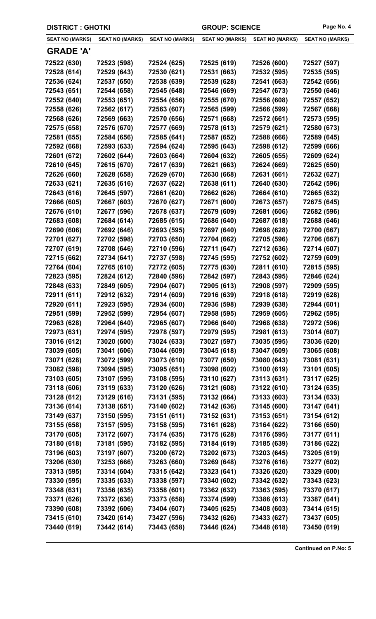| <b>DISTRICT: GHOTKI</b> |                        |                        | <b>GROUP: SCIENCE</b>  |                        | Page No. 4             |
|-------------------------|------------------------|------------------------|------------------------|------------------------|------------------------|
| <b>SEAT NO (MARKS)</b>  | <b>SEAT NO (MARKS)</b> | <b>SEAT NO (MARKS)</b> | <b>SEAT NO (MARKS)</b> | <b>SEAT NO (MARKS)</b> | <b>SEAT NO (MARKS)</b> |
| <u>GRADE 'A'</u>        |                        |                        |                        |                        |                        |
| 72522 (630)             | 72523 (598)            | 72524 (625)            | 72525 (619)            | 72526 (600)            | 72527 (597)            |
| 72528 (614)             | 72529 (643)            | 72530 (621)            | 72531 (663)            | 72532 (595)            | 72535 (595)            |
| 72536 (624)             | 72537 (650)            | 72538 (639)            | 72539 (628)            | 72541 (663)            | 72542 (656)            |
| 72543 (651)             | 72544 (658)            | 72545 (648)            | 72546 (669)            | 72547 (673)            | 72550 (646)            |
| 72552 (640)             | 72553 (651)            | 72554 (656)            | 72555 (670)            | 72556 (608)            | 72557 (652)            |
| 72558 (626)             | 72562 (617)            | 72563 (607)            | 72565 (599)            | 72566 (599)            | 72567 (668)            |
| 72568 (626)             | 72569 (663)            | 72570 (656)            | 72571 (668)            | 72572 (661)            | 72573 (595)            |
| 72575 (658)             | 72576 (670)            | 72577 (669)            | 72578 (613)            | 72579 (621)            | 72580 (673)            |
| 72581 (655)             | 72584 (656)            | 72585 (641)            | 72587 (652)            | 72588 (666)            | 72589 (645)            |
| 72592 (668)             | 72593 (633)            | 72594 (624)            | 72595 (643)            | 72598 (612)            | 72599 (666)            |
| 72601 (672)             | 72602 (644)            | 72603 (664)            | 72604 (632)            | 72605 (655)            | 72609 (624)            |
| 72610 (645)             | 72615 (670)            | 72617 (639)            | 72621 (663)            | 72624 (669)            | 72625 (650)            |
| 72626 (660)             | 72628 (658)            | 72629 (670)            | 72630 (668)            | 72631 (661)            | 72632 (627)            |
| 72633 (621)             | 72635 (616)            | 72637 (622)            | 72638 (611)            | 72640 (630)            | 72642 (596)            |
| 72643 (616)             | 72645 (597)            | 72661 (620)            | 72662 (626)            | 72664 (610)            | 72665 (632)            |
| 72666 (605)             | 72667 (603)            | 72670 (627)            | 72671 (600)            | 72673 (657)            | 72675 (645)            |
| 72676 (610)             | 72677 (596)            | 72678 (637)            | 72679 (609)            | 72681 (606)            | 72682 (596)            |
| 72683 (608)             | 72684 (614)            | 72685 (615)            | 72686 (640)            | 72687 (618)            | 72688 (646)            |
| 72690 (606)             | 72692 (646)            | 72693 (595)            | 72697 (640)            | 72698 (628)            | 72700 (667)            |
| 72701 (627)             | 72702 (598)            | 72703 (650)            | 72704 (662)            | 72705 (596)            | 72706 (667)            |
| 72707 (619)             | 72708 (646)            | 72710 (596)            | 72711 (647)            | 72712 (636)            | 72714 (607)            |
| 72715 (662)             | 72734 (641)            | 72737 (598)            | 72745 (595)            | 72752 (602)            | 72759 (609)            |
| 72764 (604)             | 72765 (610)            | 72772 (605)            | 72775 (630)            | 72811 (610)            | 72815 (595)            |
| 72823 (595)             | 72824 (612)            | 72840 (596)            | 72842 (597)            | 72843 (595)            | 72846 (624)            |
| 72848 (633)             | 72849 (605)            | 72904 (607)            | 72905 (613)            | 72908 (597)            | 72909 (595)            |
| 72911 (611)             | 72912 (632)            | 72914 (609)            | 72916 (639)            | 72918 (618)            | 72919 (628)            |
| 72920 (611)             | 72923 (595)            | 72934 (600)            | 72936 (598)            | 72939 (638)            | 72944 (601)            |
| 72951 (599)             | 72952 (599)            | 72954 (607)            | 72958 (595)            | 72959 (605)            | 72962 (595)            |
| 72963 (628)             | 72964 (640)            | 72965 (607)            | 72966 (640)            | 72968 (638)            | 72972 (596)            |
| 72973 (631)             | 72974 (595)            | 72978 (597)            | 72979 (595)            | 72981 (613)            | 73014 (607)            |
| 73016 (612)             | 73020 (600)            | 73024 (633)            | 73027 (597)            | 73035 (595)            | 73036 (620)            |
| 73039 (605)             | 73041 (606)            | 73044 (609)            | 73045 (618)            | 73047 (609)            | 73065 (608)            |
| 73071 (628)             | 73072 (599)            | 73073 (610)            | 73077 (650)            | 73080 (643)            | 73081 (631)            |
| 73082 (598)             | 73094 (595)            | 73095 (651)            | 73098 (602)            | 73100 (619)            | 73101 (605)            |
| 73103 (605)             | 73107 (595)            | 73108 (595)            | 73110 (627)            | 73113 (631)            | 73117 (625)            |
| 73118 (606)             | 73119 (633)            | 73120 (626)            | 73121 (608)            | 73122 (610)            | 73124 (635)            |
| 73128 (612)             | 73129 (616)            | 73131 (595)            | 73132 (664)            | 73133 (603)            | 73134 (633)            |
| 73136 (614)             | 73138 (651)            | 73140 (602)            | 73142 (636)            | 73145 (600)            | 73147 (641)            |
| 73149 (637)             | 73150 (595)            | 73151 (611)            | 73152 (631)            | 73153 (651)            | 73154 (612)            |
| 73155 (658)             | 73157 (595)            | 73158 (595)            | 73161 (628)            | 73164 (622)            | 73166 (650)            |
| 73170 (605)             | 73172 (607)            | 73174 (635)            | 73175 (628)            | 73176 (595)            | 73177 (611)            |
| 73180 (618)             | 73181 (595)            | 73182 (595)            | 73184 (619)            | 73185 (639)            | 73186 (622)            |
| 73196 (603)             | 73197 (607)            | 73200 (672)            | 73202 (673)            | 73203 (645)            | 73205 (619)            |
| 73206 (630)             | 73253 (666)            | 73263 (660)            | 73269 (648)            | 73276 (616)            | 73277 (602)            |
| 73313 (595)             | 73314 (604)            | 73315 (642)            | 73323 (641)            | 73326 (620)            | 73329 (600)            |
| 73330 (595)             | 73335 (633)            | 73338 (597)            | 73340 (602)            | 73342 (632)            | 73343 (623)            |
| 73348 (631)             | 73356 (635)            | 73358 (601)            | 73362 (632)            | 73363 (595)            | 73370 (617)            |
| 73371 (626)             | 73372 (636)            | 73373 (658)            | 73374 (599)            | 73386 (613)            | 73387 (641)            |
| 73390 (608)             | 73392 (606)            | 73404 (607)            | 73405 (625)            | 73408 (603)            | 73414 (615)            |
| 73415 (610)             | 73420 (614)            | 73427 (596)            | 73432 (626)            | 73433 (627)            | 73437 (605)            |
| 73440 (619)             | 73442 (614)            | 73443 (658)            | 73446 (624)            | 73448 (618)            | 73450 (619)            |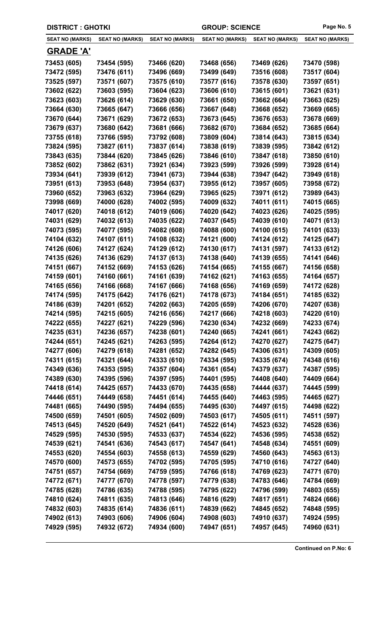| <b>DISTRICT : GHOTKI</b> |                        |                        | <b>GROUP: SCIENCE</b>  |                        | Page No. 5             |
|--------------------------|------------------------|------------------------|------------------------|------------------------|------------------------|
| <b>SEAT NO (MARKS)</b>   | <b>SEAT NO (MARKS)</b> | <b>SEAT NO (MARKS)</b> | <b>SEAT NO (MARKS)</b> | <b>SEAT NO (MARKS)</b> | <b>SEAT NO (MARKS)</b> |
| <u>GRADE 'A'</u>         |                        |                        |                        |                        |                        |
| 73453 (605)              | 73454 (595)            | 73466 (620)            | 73468 (656)            | 73469 (626)            | 73470 (598)            |
| 73472 (595)              | 73476 (611)            | 73496 (669)            | 73499 (649)            | 73516 (608)            | 73517 (604)            |
| 73525 (597)              | 73571 (607)            | 73575 (610)            | 73577 (616)            | 73578 (630)            | 73597 (651)            |
| 73602 (622)              | 73603 (595)            | 73604 (623)            | 73606 (610)            | 73615 (601)            | 73621 (631)            |
| 73623 (603)              | 73626 (614)            | 73629 (630)            | 73661 (650)            | 73662 (664)            | 73663 (625)            |
| 73664 (630)              | 73665 (647)            | 73666 (656)            | 73667 (648)            | 73668 (652)            | 73669 (665)            |
| 73670 (644)              | 73671 (629)            | 73672 (653)            | 73673 (645)            | 73676 (653)            | 73678 (669)            |
| 73679 (637)              | 73680 (642)            | 73681 (666)            | 73682 (670)            | 73684 (652)            | 73685 (664)            |
| 73755 (618)              | 73766 (595)            | 73792 (608)            | 73809 (604)            | 73814 (643)            | 73815 (634)            |
| 73824 (595)              | 73827 (611)            | 73837 (614)            | 73838 (619)            | 73839 (595)            | 73842 (612)            |
| 73843 (635)              | 73844 (620)            | 73845 (626)            | 73846 (610)            | 73847 (618)            | 73850 (610)            |
| 73852 (602)              | 73862 (631)            | 73921 (634)            | 73923 (599)            | 73926 (599)            | 73928 (614)            |
| 73934 (641)              | 73939 (612)            | 73941 (673)            | 73944 (638)            | 73947 (642)            | 73949 (618)            |
| 73951 (613)              | 73953 (648)            | 73954 (637)            | 73955 (612)            | 73957 (605)            | 73958 (672)            |
| 73960 (652)              | 73963 (632)            | 73964 (629)            | 73965 (625)            | 73971 (612)            | 73989 (643)            |
| 73998 (669)              | 74000 (628)            | 74002 (595)            | 74009 (632)            | 74011 (611)            | 74015 (665)            |
| 74017 (620)              | 74018 (612)            | 74019 (606)            | 74020 (642)            | 74023 (626)            | 74025 (595)            |
| 74031 (629)              | 74032 (613)            | 74035 (622)            | 74037 (645)            | 74039 (610)            | 74071 (613)            |
| 74073 (595)              | 74077 (595)            | 74082 (608)            | 74088 (600)            | 74100 (615)            | 74101 (633)            |
| 74104 (632)              | 74107 (611)            | 74108 (632)            | 74121 (600)            | 74124 (612)            | 74125 (647)            |
| 74126 (606)              | 74127 (624)            | 74129 (612)            | 74130 (617)            | 74131 (597)            | 74133 (612)            |
| 74135 (626)              | 74136 (629)            | 74137 (613)            | 74138 (640)            | 74139 (655)            | 74141 (646)            |
| 74151 (667)              | 74152 (669)            | 74153 (626)            | 74154 (665)            | 74155 (667)            | 74156 (658)            |
| 74159 (601)              | 74160 (661)            | 74161 (639)            | 74162 (621)            | 74163 (655)            | 74164 (657)            |
| 74165 (656)              | 74166 (668)            | 74167 (666)            | 74168 (656)            | 74169 (659)            | 74172 (628)            |
| 74174 (595)              | 74175 (642)            | 74176 (621)            | 74178 (673)            | 74184 (651)            | 74185 (632)            |
| 74186 (639)              | 74201 (652)            | 74202 (663)            | 74205 (659)            | 74206 (670)            | 74207 (638)            |
| 74214 (595)              | 74215 (605)            | 74216 (656)            | 74217 (666)            | 74218 (603)            | 74220 (610)            |
| 74222 (655)              | 74227 (621)            | 74229 (596)            | 74230 (634)            | 74232 (669)            | 74233 (674)            |
| 74235 (631)              | 74236 (657)            | 74238 (601)            | 74240 (665)            | 74241 (661)            | 74243 (662)            |
| 74244 (651)              | 74245 (621)            | 74263 (595)            | 74264 (612)            | 74270 (627)            | 74275 (647)            |
| 74277 (606)              | 74279 (618)            | 74281 (652)            | 74282 (645)            | 74306 (631)            | 74309 (605)            |
| 74311 (615)              | 74321 (644)            | 74333 (610)            | 74334 (595)            | 74335 (674)            | 74348 (616)            |
| 74349 (636)              | 74353 (595)            | 74357 (604)            | 74361 (654)            | 74379 (637)            | 74387 (595)            |
| 74389 (630)              | 74395 (596)            | 74397 (595)            | 74401 (595)            | 74408 (640)            | 74409 (664)            |
| 74418 (614)              | 74425 (657)            | 74433 (670)            | 74435 (658)            | 74444 (637)            | 74445 (599)            |
| 74446 (651)              | 74449 (658)            | 74451 (614)            | 74455 (640)            | 74463 (595)            | 74465 (627)            |
| 74481 (665)              | 74490 (595)            | 74494 (655)            | 74495 (630)            | 74497 (615)            | 74498 (622)            |
| 74500 (659)              | 74501 (605)            | 74502 (609)            | 74503 (617)            | 74505 (611)            | 74511 (597)            |
| 74513 (645)              | 74520 (649)            | 74521 (641)            | 74522 (614)            | 74523 (632)            | 74528 (636)            |
| 74529 (595)              | 74530 (595)            | 74533 (637)            | 74534 (622)            | 74536 (595)            | 74538 (652)            |
| 74539 (621)              | 74541 (636)            | 74543 (617)            | 74547 (641)            | 74548 (634)            | 74551 (609)            |
| 74553 (620)              | 74554 (603)            | 74558 (613)            | 74559 (629)            | 74560 (643)            | 74563 (613)            |
| 74570 (600)              | 74573 (655)            | 74702 (595)            | 74705 (595)            | 74710 (616)            | 74727 (640)            |
| 74751 (657)              | 74754 (669)            | 74759 (595)            | 74766 (618)            | 74769 (623)            | 74771 (670)            |
| 74772 (671)              | 74777 (670)            | 74778 (597)            | 74779 (638)            | 74783 (646)            | 74784 (669)            |
| 74785 (628)              | 74786 (635)            | 74788 (595)            | 74795 (622)            | 74796 (599)            | 74803 (655)            |
| 74810 (624)              | 74811 (635)            | 74813 (646)            | 74816 (629)            | 74817 (651)            | 74824 (666)            |
| 74832 (603)              | 74835 (614)            | 74836 (611)            | 74839 (662)            | 74845 (652)            | 74848 (595)            |
| 74902 (613)              | 74903 (606)            | 74906 (604)            | 74908 (603)            | 74910 (637)            | 74924 (595)            |
| 74929 (595)              | 74932 (672)            | 74934 (600)            | 74947 (651)            | 74957 (645)            | 74960 (631)            |
|                          |                        |                        |                        |                        |                        |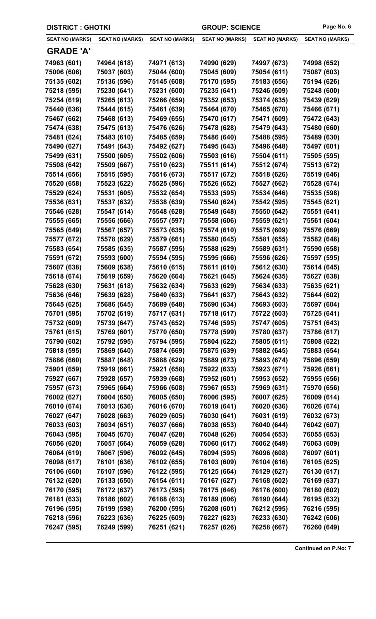| <b>DISTRICT : GHOTKI</b> |                        |                        | <b>GROUP: SCIENCE</b>  |                        | Page No. 6             |
|--------------------------|------------------------|------------------------|------------------------|------------------------|------------------------|
| <b>SEAT NO (MARKS)</b>   | <b>SEAT NO (MARKS)</b> | <b>SEAT NO (MARKS)</b> | <b>SEAT NO (MARKS)</b> | <b>SEAT NO (MARKS)</b> | <b>SEAT NO (MARKS)</b> |
| <u>GRADE 'A'</u>         |                        |                        |                        |                        |                        |
| 74963 (601)              | 74964 (618)            | 74971 (613)            | 74990 (629)            | 74997 (673)            | 74998 (652)            |
| 75006 (606)              | 75037 (603)            | 75044 (600)            | 75045 (609)            | 75054 (611)            | 75087 (603)            |
| 75135 (602)              | 75136 (596)            | 75145 (608)            | 75170 (595)            | 75183 (656)            | 75194 (626)            |
| 75218 (595)              | 75230 (641)            | 75231 (600)            | 75235 (641)            | 75246 (609)            | 75248 (600)            |
| 75254 (619)              | 75265 (613)            | 75266 (659)            | 75352 (653)            | 75374 (635)            | 75439 (629)            |
| 75440 (636)              | 75444 (615)            | 75461 (639)            | 75464 (670)            | 75465 (670)            | 75466 (671)            |
| 75467 (662)              | 75468 (613)            | 75469 (655)            | 75470 (617)            | 75471 (609)            | 75472 (643)            |
| 75474 (638)              | 75475 (613)            | 75476 (626)            | 75478 (628)            | 75479 (643)            | 75480 (660)            |
| 75481 (624)              | 75483 (610)            | 75485 (659)            | 75486 (640)            | 75488 (595)            | 75489 (630)            |
| 75490 (627)              | 75491 (643)            | 75492 (627)            | 75495 (643)            | 75496 (648)            | 75497 (601)            |
| 75499 (631)              | 75500 (605)            | 75502 (606)            | 75503 (616)            | 75504 (611)            | 75505 (595)            |
| 75508 (642)              | 75509 (667)            | 75510 (623)            | 75511 (614)            | 75512 (674)            | 75513 (672)            |
| 75514 (656)              | 75515 (595)            | 75516 (673)            | 75517 (672)            | 75518 (626)            | 75519 (646)            |
| 75520 (658)              | 75523 (622)            | 75525 (596)            | 75526 (652)            | 75527 (662)            | 75528 (674)            |
| 75529 (624)              | 75531 (605)            | 75532 (654)            | 75533 (595)            | 75534 (646)            | 75535 (598)            |
| 75536 (631)              | 75537 (632)            | 75538 (639)            | 75540 (624)            | 75542 (595)            | 75545 (621)            |
| 75546 (628)              | 75547 (614)            | 75548 (628)            | 75549 (648)            | 75550 (642)            | 75551 (641)            |
| 75555 (665)              | 75556 (666)            | 75557 (597)            | 75558 (606)            | 75559 (621)            | 75561 (604)            |
| 75565 (649)              | 75567 (657)            | 75573 (635)            | 75574 (610)            | 75575 (609)            | 75576 (669)            |
| 75577 (672)              | 75578 (629)            | 75579 (661)            | 75580 (645)            | 75581 (655)            | 75582 (648)            |
| 75583 (654)              | 75585 (635)            | 75587 (595)            | 75588 (629)            | 75589 (631)            | 75590 (658)            |
| 75591 (672)              | 75593 (600)            | 75594 (595)            | 75595 (666)            | 75596 (626)            | 75597 (595)            |
| 75607 (638)              | 75609 (638)            | 75610 (615)            | 75611 (610)            | 75612 (630)            | 75614 (645)            |
| 75618 (674)              | 75619 (659)            | 75620 (664)            | 75621 (645)            | 75624 (635)            | 75627 (638)            |
| 75628 (630)              | 75631 (618)            | 75632 (634)            | 75633 (629)            | 75634 (633)            | 75635 (621)            |
| 75636 (646)              | 75639 (628)            | 75640 (633)            | 75641 (637)            | 75643 (632)            | 75644 (602)            |
| 75645 (625)              | 75686 (645)            | 75689 (648)            | 75690 (634)            | 75693 (603)            | 75697 (604)            |
| 75701 (595)              | 75702 (619)            | 75717 (631)            | 75718 (617)            | 75722 (603)            | 75725 (641)            |
| 75732 (609)              | 75739 (647)            | 75743 (652)            | 75746 (595)            | 75747 (605)            | 75751 (643)            |
| 75761 (615)              | 75769 (601)            | 75770 (650)            | 75778 (599)            | 75780 (637)            | 75786 (617)            |
| 75790 (602)              | 75792 (595)            | 75794 (595)            | 75804 (622)            | 75805 (611)            | 75808 (622)            |
| 75818 (595)              | 75869 (640)            | 75874 (669)            | 75875 (639)            | 75882 (645)            | 75883 (654)            |
| 75886 (660)              | 75887 (648)            | 75888 (629)            | 75889 (673)            | 75893 (674)            | 75896 (659)            |
| 75901 (659)              | 75919 (661)            | 75921 (658)            | 75922 (633)            | 75923 (671)            | 75926 (661)            |
| 75927 (667)              | 75928 (657)            | 75939 (668)            | 75952 (601)            | 75953 (652)            | 75955 (656)            |
| 75957 (673)              | 75965 (664)            | 75966 (608)            | 75967 (653)            | 75969 (631)            | 75970 (656)            |
| 76002 (627)              | 76004 (650)            | 76005 (650)            | 76006 (595)            | 76007 (625)            | 76009 (614)            |
| 76010 (674)              | 76013 (636)            | 76016 (670)            | 76019 (641)            | 76020 (636)            | 76026 (674)            |
| 76027 (647)              | 76028 (663)            | 76029 (605)            | 76030 (641)            | 76031 (619)            | 76032 (673)            |
| 76033 (603)              | 76034 (651)            | 76037 (666)            | 76038 (653)            | 76040 (644)            | 76042 (607)            |
| 76043 (595)              | 76045 (670)            | 76047 (628)            | 76048 (626)            | 76054 (653)            | 76055 (653)            |
| 76056 (620)              | 76057 (664)            | 76059 (628)            | 76060 (617)            | 76062 (649)            | 76063 (609)            |
| 76064 (619)              | 76067 (596)            | 76092 (645)            | 76094 (595)            | 76096 (608)            | 76097 (601)            |
| 76098 (617)              | 76101 (636)            | 76102 (655)            | 76103 (609)            | 76104 (616)            | 76105 (625)            |
| 76106 (660)              | 76107 (596)            | 76122 (595)            | 76125 (664)            | 76129 (627)            | 76130 (617)            |
| 76132 (620)              | 76133 (650)            | 76154 (611)            | 76167 (627)            | 76168 (602)            | 76169 (637)            |
| 76170 (595)              | 76172 (637)            | 76173 (595)            | 76175 (646)            | 76176 (600)            | 76180 (602)            |
| 76181 (633)              | 76186 (602)            | 76188 (613)            | 76189 (606)            | 76190 (644)            | 76195 (632)            |
| 76196 (595)              | 76199 (598)            | 76200 (595)            | 76208 (601)            | 76212 (595)            | 76216 (595)            |
| 76218 (596)              | 76223 (636)            | 76225 (609)            | 76227 (623)            | 76233 (630)            | 76242 (606)            |
| 76247 (595)              | 76249 (599)            | 76251 (621)            | 76257 (626)            | 76258 (667)            | 76260 (649)            |
|                          |                        |                        |                        |                        |                        |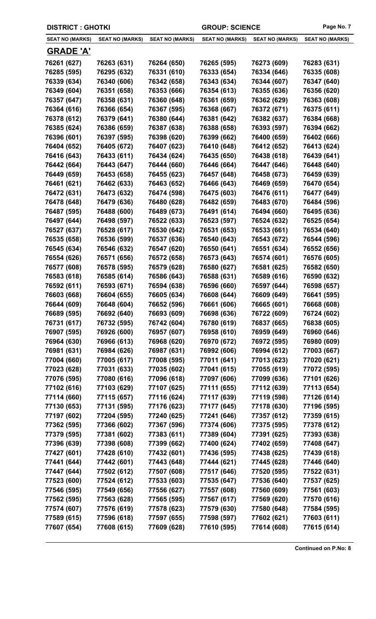| <b>DISTRICT : GHOTKI</b> |                        |                        | <b>GROUP: SCIENCE</b>  |                        | Page No. 7             |
|--------------------------|------------------------|------------------------|------------------------|------------------------|------------------------|
| <b>SEAT NO (MARKS)</b>   | <b>SEAT NO (MARKS)</b> | <b>SEAT NO (MARKS)</b> | <b>SEAT NO (MARKS)</b> | <b>SEAT NO (MARKS)</b> | <b>SEAT NO (MARKS)</b> |
| <b>GRADE 'A'</b>         |                        |                        |                        |                        |                        |
| 76261 (627)              | 76263 (631)            | 76264 (650)            | 76265 (595)            | 76273 (609)            | 76283 (631)            |
| 76285 (595)              | 76295 (632)            | 76331 (610)            | 76333 (654)            | 76334 (646)            | 76335 (608)            |
| 76339 (634)              | 76340 (606)            | 76342 (658)            | 76343 (634)            | 76344 (607)            | 76347 (640)            |
| 76349 (604)              | 76351 (658)            | 76353 (666)            | 76354 (613)            | 76355 (636)            | 76356 (620)            |
| 76357 (647)              | 76358 (631)            | 76360 (648)            | 76361 (659)            | 76362 (629)            | 76363 (608)            |
| 76364 (616)              | 76366 (654)            | 76367 (595)            | 76368 (667)            | 76372 (671)            | 76375 (611)            |
| 76378 (612)              | 76379 (641)            | 76380 (644)            | 76381 (642)            | 76382 (637)            | 76384 (668)            |
| 76385 (624)              | 76386 (659)            | 76387 (638)            | 76388 (658)            | 76393 (597)            | 76394 (662)            |
| 76396 (601)              | 76397 (595)            | 76398 (620)            | 76399 (662)            | 76400 (659)            | 76402 (666)            |
| 76404 (652)              | 76405 (672)            | 76407 (623)            | 76410 (648)            | 76412 (652)            | 76413 (624)            |
| 76416 (643)              | 76433 (611)            | 76434 (624)            | 76435 (650)            | 76438 (618)            | 76439 (641)            |
| 76442 (664)              | 76443 (647)            | 76444 (660)            | 76446 (664)            | 76447 (646)            | 76448 (640)            |
| 76449 (659)              | 76453 (658)            | 76455 (623)            | 76457 (648)            | 76458 (673)            | 76459 (639)            |
| 76461 (621)              | 76462 (633)            | 76463 (652)            | 76466 (643)            | 76469 (659)            | 76470 (654)            |
| 76472 (631)              | 76473 (632)            | 76474 (598)            | 76475 (603)            | 76476 (611)            | 76477 (649)            |
| 76478 (648)              | 76479 (636)            | 76480 (628)            | 76482 (659)            | 76483 (670)            | 76484 (596)            |
| 76487 (595)              | 76488 (600)            | 76489 (673)            | 76491 (614)            | 76494 (660)            | 76495 (636)            |
| 76497 (644)              | 76498 (597)            | 76522 (633)            | 76523 (597)            | 76524 (632)            | 76525 (654)            |
| 76527 (637)              | 76528 (617)            | 76530 (642)            | 76531 (653)            | 76533 (661)            | 76534 (640)            |
| 76535 (658)              | 76536 (599)            | 76537 (636)            | 76540 (643)            | 76543 (672)            | 76544 (596)            |
| 76545 (634)              | 76546 (632)            | 76547 (620)            | 76550 (641)            | 76551 (634)            | 76552 (656)            |
| 76554 (626)              | 76571 (656)            | 76572 (658)            | 76573 (643)            | 76574 (601)            | 76576 (605)            |
| 76577 (608)              | 76578 (595)            | 76579 (628)            | 76580 (627)            | 76581 (625)            | 76582 (650)            |
| 76583 (618)              | 76585 (614)            | 76586 (643)            | 76588 (631)            | 76589 (616)            | 76590 (632)            |
| 76592 (611)              | 76593 (671)            | 76594 (638)            | 76596 (660)            | 76597 (644)            | 76598 (657)            |
| 76603 (668)              | 76604 (655)            | 76605 (634)            | 76608 (644)            | 76609 (649)            | 76641 (595)            |
| 76644 (609)              | 76648 (604)            | 76652 (596)            | 76661 (606)            | 76665 (601)            | 76668 (608)            |
| 76689 (595)              | 76692 (640)            | 76693 (609)            | 76698 (636)            | 76722 (609)            | 76724 (602)            |
| 76731 (617)              | 76732 (595)            | 76742 (604)            | 76780 (619)            | 76837 (665)            | 76838 (605)            |
| 76907 (595)              | 76926 (600)            | 76957 (607)            | 76958 (610)            | 76959 (649)            | 76960 (646)            |
| 76964 (630)              | 76966 (613)            | 76968 (620)            | 76970 (672)            | 76972 (595)            | 76980 (609)            |
| 76981 (631)              | 76984 (626)            | 76987 (631)            | 76992 (606)            | 76994 (612)            | 77003 (667)            |
| 77004 (660)              | 77005 (617)            | 77008 (595)            | 77011 (641)            | 77013 (623)            | 77020 (621)            |
| 77023 (628)              | 77031 (633)            | 77035 (602)            | 77041 (615)            | 77055 (619)            | 77072 (595)            |
| 77076 (595)              | 77080 (616)            | 77096 (618)            | 77097 (606)            | 77099 (636)            | 77101 (626)            |
| 77102 (616)              | 77103 (629)            | 77107 (625)            | 77111 (655)            | 77112 (639)            | 77113 (654)            |
| 77114 (660)              | 77115 (657)            | 77116 (624)            | 77117 (639)            | 77119 (598)            | 77126 (614)            |
| 77130 (653)              | 77131 (595)            | 77176 (623)            | 77177 (645)            | 77178 (630)            | 77196 (595)            |
| 77197 (602)              | 77204 (595)            | 77240 (625)            | 77241 (646)            | 77357 (612)            | 77359 (615)            |
| 77362 (595)              | 77366 (602)            | 77367 (596)            | 77374 (606)            | 77375 (595)            | 77378 (612)            |
| 77379 (595)              | 77381 (602)            | 77383 (611)            | 77389 (604)            | 77391 (625)            | 77393 (638)            |
| 77396 (639)              | 77398 (608)            | 77399 (662)            | 77400 (624)            | 77402 (659)            | 77408 (647)            |
| 77427 (601)              | 77428 (610)            | 77432 (601)            | 77436 (595)            | 77438 (625)            | 77439 (618)            |
| 77441 (644)              | 77442 (601)            | 77443 (648)            | 77444 (621)            | 77445 (628)            | 77446 (640)            |
| 77447 (644)              | 77502 (612)            | 77507 (608)            | 77517 (646)            | 77520 (595)            | 77522 (631)            |
| 77523 (600)              | 77524 (612)            | 77533 (603)            | 77535 (647)            | 77536 (640)            | 77537 (625)            |
| 77546 (595)              | 77549 (656)            | 77556 (627)            | 77557 (608)            | 77560 (609)            | 77561 (603)            |
| 77562 (595)              | 77563 (628)            | 77565 (595)            | 77567 (617)            | 77569 (620)            | 77570 (616)            |
| 77574 (607)              | 77576 (619)            | 77578 (623)            | 77579 (630)            | 77580 (648)            | 77584 (595)            |
| 77589 (615)              | 77596 (618)            | 77597 (655)            | 77598 (597)            | 77602 (621)            | 77603 (611)            |
| 77607 (654)              | 77608 (615)            | 77609 (628)            | 77610 (595)            | 77614 (608)            | 77615 (614)            |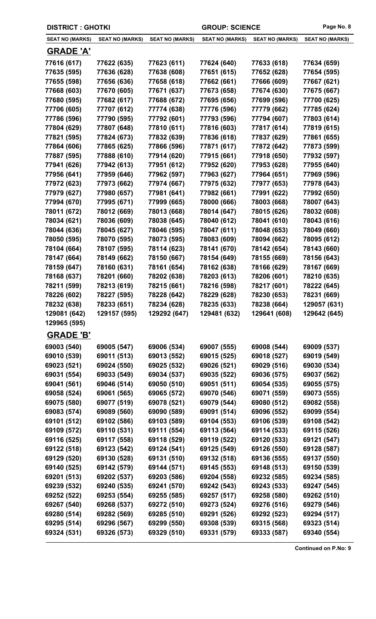| <b>DISTRICT: GHOTKI</b>    |                            |                            | <b>GROUP: SCIENCE</b>      |                            | Page No. 8                 |
|----------------------------|----------------------------|----------------------------|----------------------------|----------------------------|----------------------------|
| <b>SEAT NO (MARKS)</b>     | <b>SEAT NO (MARKS)</b>     | <b>SEAT NO (MARKS)</b>     | <b>SEAT NO (MARKS)</b>     | <b>SEAT NO (MARKS)</b>     | <b>SEAT NO (MARKS)</b>     |
| <u>GRADE 'A'</u>           |                            |                            |                            |                            |                            |
| 77616 (617)                | 77622 (635)                | 77623 (611)                | 77624 (640)                | 77633 (618)                | 77634 (659)                |
| 77635 (595)                | 77636 (628)                | 77638 (608)                | 77651 (615)                | 77652 (628)                | 77654 (595)                |
| 77655 (598)                | 77656 (636)                | 77658 (618)                | 77662 (661)                | 77666 (609)                | 77667 (621)                |
| 77668 (603)                | 77670 (605)                | 77671 (637)                | 77673 (658)                | 77674 (630)                | 77675 (667)                |
| 77680 (595)                | 77682 (617)                | 77688 (672)                | 77695 (656)                | 77699 (596)                | 77700 (625)                |
| 77706 (605)                | 77707 (612)                | 77774 (638)                | 77776 (596)                | 77779 (662)                | 77785 (624)                |
| 77786 (596)                | 77790 (595)                | 77792 (601)                | 77793 (596)                | 77794 (607)                | 77803 (614)                |
| 77804 (629)                | 77807 (648)                | 77810 (611)                | 77816 (603)                | 77817 (614)                | 77819 (615)                |
| 77821 (595)                | 77824 (673)                | 77832 (639)                | 77836 (618)                | 77837 (629)                | 77861 (655)                |
| 77864 (606)                | 77865 (625)                | 77866 (596)                | 77871 (617)                | 77872 (642)                | 77873 (599)                |
| 77887 (595)                | 77888 (610)                | 77914 (620)                | 77915 (661)                | 77918 (650)                | 77932 (597)                |
| 77941 (626)                | 77942 (613)                | 77951 (612)                | 77952 (620)                | 77953 (628)                | 77955 (640)                |
| 77956 (641)                | 77959 (646)                | 77962 (597)                | 77963 (627)                | 77964 (651)                | 77969 (596)                |
| 77972 (623)                | 77973 (662)                | 77974 (667)                | 77975 (632)                | 77977 (653)                | 77978 (643)                |
| 77979 (627)                | 77980 (657)                | 77981 (641)                | 77982 (661)                | 77991 (622)                | 77992 (650)                |
| 77994 (670)                | 77995 (671)                | 77999 (665)                | 78000 (666)                | 78003 (668)                | 78007 (643)                |
| 78011 (672)                | 78012 (669)                | 78013 (668)                | 78014 (647)                | 78015 (626)                | 78032 (608)                |
| 78034 (621)                | 78036 (609)                | 78038 (645)                | 78040 (612)                | 78041 (610)                | 78043 (616)                |
| 78044 (636)                | 78045 (627)                | 78046 (595)                | 78047 (611)                | 78048 (653)                | 78049 (660)                |
| 78050 (595)                | 78070 (595)                | 78073 (595)                | 78083 (609)                | 78094 (662)                | 78095 (612)                |
| 78104 (664)                | 78107 (595)                | 78114 (623)                | 78141 (670)                | 78142 (654)                | 78143 (660)                |
| 78147 (664)                | 78149 (662)                | 78150 (667)                | 78154 (649)                | 78155 (669)                | 78156 (643)                |
| 78159 (647)                | 78160 (631)                | 78161 (654)                | 78162 (638)                | 78166 (629)                | 78167 (669)                |
| 78168 (637)                | 78201 (660)                | 78202 (638)                | 78203 (613)                | 78206 (601)                | 78210 (635)                |
| 78211 (599)                | 78213 (619)                | 78215 (661)                | 78216 (598)                | 78217 (601)                | 78222 (645)                |
| 78226 (602)                | 78227 (595)                | 78228 (642)                | 78229 (628)                | 78230 (653)                | 78231 (669)                |
| 78232 (638)                | 78233 (651)                | 78234 (628)                | 78235 (633)                | 78238 (664)                | 129057 (631)               |
| 129081 (642)               | 129157 (595)               | 129292 (647)               | 129481 (632)               | 129641 (608)               | 129642 (645)               |
| 129965 (595)               |                            |                            |                            |                            |                            |
| <b>GRADE 'B'</b>           |                            |                            |                            |                            |                            |
| 69003 (540)                | 69005 (547)                | 69006 (534)                | 69007 (555)                | 69008 (544)                | 69009 (537)                |
| 69010 (539)                | 69011 (513)                | 69013 (552)                | 69015 (525)                | 69018 (527)                | 69019 (549)                |
| 69023 (521)                | 69024 (550)                | 69025 (532)                | 69026 (521)                | 69029 (516)                | 69030 (534)                |
| 69031 (554)                | 69033 (549)                | 69034 (537)                | 69035 (522)                | 69036 (575)                | 69037 (562)                |
| 69041 (561)                | 69046 (514)                | 69050 (510)                | 69051 (511)                | 69054 (535)                | 69055 (575)                |
| 69058 (524)                | 69061 (565)                | 69065 (572)                | 69070 (546)                | 69071 (559)                | 69073 (555)                |
| 69075 (580)<br>69083 (574) | 69077 (519)<br>69089 (560) | 69078 (521)<br>69090 (589) | 69079 (544)<br>69091 (514) | 69080 (512)<br>69096 (552) | 69082 (558)<br>69099 (554) |
| 69101 (512)                | 69102 (586)                | 69103 (589)                | 69104 (553)                | 69106 (539)                | 69108 (542)                |
| 69109 (572)                | 69110 (531)                | 69111 (554)                | 69113 (564)                | 69114 (533)                | 69115 (526)                |
| 69116 (525)                | 69117 (558)                | 69118 (529)                | 69119 (522)                | 69120 (533)                | 69121 (547)                |
| 69122 (518)                | 69123 (542)                | 69124 (541)                | 69125 (549)                | 69126 (550)                | 69128 (587)                |
| 69129 (520)                | 69130 (528)                | 69131 (510)                | 69132 (518)                | 69136 (555)                | 69137 (550)                |
| 69140 (525)                | 69142 (579)                | 69144 (571)                | 69145 (553)                | 69148 (513)                | 69150 (539)                |
| 69201 (513)                | 69202 (537)                | 69203 (586)                | 69204 (558)                | 69232 (585)                | 69234 (585)                |
| 69239 (532)                | 69240 (535)                | 69241 (570)                | 69242 (543)                | 69243 (533)                | 69247 (545)                |
| 69252 (522)                | 69253 (554)                | 69255 (585)                | 69257 (517)                | 69258 (580)                | 69262 (510)                |
| 69267 (540)                | 69268 (537)                | 69272 (510)                | 69273 (524)                | 69276 (516)                | 69279 (546)                |
| 69280 (514)                | 69282 (569)                | 69285 (510)                | 69291 (526)                | 69292 (523)                | 69294 (517)                |
| 69295 (514)                | 69296 (567)                | 69299 (550)                | 69308 (539)                | 69315 (568)                | 69323 (514)                |
| 69324 (531)                | 69326 (573)                | 69329 (510)                | 69331 (579)                | 69333 (587)                | 69340 (554)                |
|                            |                            |                            |                            |                            |                            |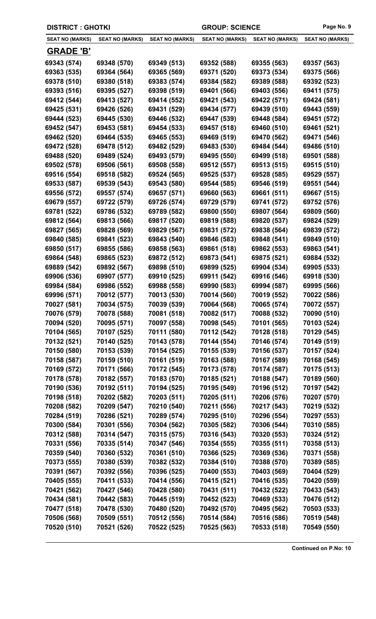| <b>DISTRICT: GHOTKI</b> |                        | <b>GROUP: SCIENCE</b>  |                        |                        | Page No. 9             |
|-------------------------|------------------------|------------------------|------------------------|------------------------|------------------------|
| <b>SEAT NO (MARKS)</b>  | <b>SEAT NO (MARKS)</b> | <b>SEAT NO (MARKS)</b> | <b>SEAT NO (MARKS)</b> | <b>SEAT NO (MARKS)</b> | <b>SEAT NO (MARKS)</b> |
| <b>GRADE 'B'</b>        |                        |                        |                        |                        |                        |
| 69343 (574)             | 69348 (570)            | 69349 (513)            | 69352 (588)            | 69355 (563)            | 69357 (563)            |
| 69363 (535)             | 69364 (564)            | 69365 (569)            | 69371 (520)            | 69373 (534)            | 69375 (566)            |
| 69378 (510)             | 69380 (518)            | 69383 (574)            | 69384 (582)            | 69389 (588)            | 69392 (523)            |
| 69393 (516)             | 69395 (527)            | 69398 (519)            | 69401 (566)            | 69403 (556)            | 69411 (575)            |
| 69412 (544)             | 69413 (527)            | 69414 (552)            | 69421 (543)            | 69422 (571)            | 69424 (581)            |
| 69425 (531)             | 69426 (526)            | 69431 (529)            | 69434 (577)            | 69439 (510)            | 69443 (559)            |
| 69444 (523)             | 69445 (530)            | 69446 (532)            | 69447 (539)            | 69448 (584)            | 69451 (572)            |
| 69452 (547)             | 69453 (581)            | 69454 (533)            | 69457 (518)            | 69460 (510)            | 69461 (521)            |
| 69462 (520)             | 69464 (535)            | 69465 (553)            | 69469 (519)            | 69470 (562)            | 69471 (546)            |
| 69472 (528)             | 69478 (512)            | 69482 (529)            | 69483 (530)            | 69484 (544)            | 69486 (510)            |
| 69488 (520)             | 69489 (524)            | 69493 (579)            | 69495 (550)            | 69499 (518)            | 69501 (588)            |
| 69502 (578)             | 69506 (561)            | 69508 (558)            | 69512 (557)            | 69513 (515)            | 69515 (510)            |
| 69516 (554)             | 69518 (582)            | 69524 (565)            | 69525 (537)            | 69528 (585)            | 69529 (557)            |
| 69533 (587)             | 69539 (543)            | 69543 (580)            | 69544 (585)            | 69546 (519)            | 69551 (544)            |
| 69556 (572)             | 69557 (574)            | 69657 (571)            | 69660 (563)            | 69661 (511)            | 69667 (515)            |
| 69679 (557)             | 69722 (579)            | 69726 (574)            | 69729 (579)            | 69741 (572)            | 69752 (576)            |
| 69781 (522)             | 69786 (532)            | 69789 (582)            | 69800 (550)            | 69807 (564)            | 69809 (560)            |
| 69812 (564)             | 69813 (566)            | 69817 (520)            | 69819 (588)            | 69820 (537)            | 69824 (529)            |
| 69827 (565)             | 69828 (569)            | 69829 (567)            | 69831 (572)            | 69838 (564)            | 69839 (572)            |
| 69840 (585)             | 69841 (523)            | 69843 (540)            | 69846 (583)            | 69848 (541)            | 69849 (510)            |
| 69850 (517)             | 69855 (586)            | 69858 (563)            | 69861 (518)            | 69862 (553)            | 69863 (541)            |
| 69864 (548)             | 69865 (523)            | 69872 (512)            | 69873 (541)            | 69875 (521)            | 69884 (532)            |
| 69889 (542)             | 69892 (567)            | 69898 (510)            | 69899 (525)            | 69904 (534)            | 69905 (533)            |
| 69906 (536)             | 69907 (577)            | 69910 (525)            | 69911 (542)            | 69916 (546)            | 69918 (530)            |
| 69984 (584)             | 69986 (552)            | 69988 (558)            | 69990 (583)            | 69994 (587)            | 69995 (566)            |
| 69996 (571)             | 70012 (577)            | 70013 (530)            | 70014 (560)            | 70019 (552)            | 70022 (586)            |
| 70027 (581)             | 70034 (575)            | 70039 (539)            | 70064 (568)            | 70065 (574)            | 70072 (557)            |
| 70076 (579)             | 70078 (588)            | 70081 (518)            | 70082 (517)            | 70088 (532)            | 70090 (510)            |
| 70094 (520)             | 70095 (571)            | 70097 (558)            | 70098 (545)            | 70101 (565)            | 70103 (524)            |
| 70104 (565)             | 70107 (525)            | 70111 (580)            | 70112 (542)            | 70128 (518)            | 70129 (545)            |
| 70132 (521)             | 70140 (525)            | 70143 (578)            | 70144 (554)            | 70146 (574)            | 70149 (519)            |
| 70150 (580)             | 70153 (539)            | 70154 (525)            | 70155 (539)            | 70156 (537)            | 70157 (524)            |
| 70158 (587)             | 70159 (510)            | 70161 (519)            | 70163 (588)            | 70167 (589)            | 70168 (545)            |
| 70169 (572)             | 70171 (566)            | 70172 (545)            | 70173 (578)            | 70174 (587)            | 70175 (513)            |
| 70178 (578)             | 70182 (557)            | 70183 (570)            | 70185 (521)            | 70188 (547)            | 70189 (560)            |
| 70190 (536)             | 70192 (511)            | 70194 (525)            | 70195 (549)            | 70196 (512)            | 70197 (542)            |
| 70198 (518)             | 70202 (582)            | 70203 (511)            | 70205 (511)            | 70206 (576)            | 70207 (570)            |
| 70208 (582)             | 70209 (547)            | 70210 (540)            | 70211 (556)            | 70217 (543)            | 70219 (532)            |
| 70284 (519)             | 70286 (521)            | 70289 (574)            | 70295 (510)            | 70296 (554)            | 70297 (553)            |
| 70300 (584)             | 70301 (556)            | 70304 (562)            | 70305 (582)            | 70306 (544)            | 70310 (585)            |
| 70312 (588)             | 70314 (547)            | 70315 (575)            | 70316 (543)            | 70320 (553)            | 70324 (512)            |
| 70331 (556)             | 70335 (514)            | 70347 (546)            | 70354 (555)            | 70355 (511)            | 70358 (513)            |
| 70359 (540)             | 70360 (532)            | 70361 (510)            | 70366 (525)            | 70369 (536)            | 70371 (558)            |
| 70373 (555)             | 70380 (539)            | 70382 (532)            | 70384 (510)            | 70388 (570)            | 70389 (585)            |
| 70391 (567)             | 70392 (556)            | 70396 (525)            | 70400 (553)            | 70403 (569)            | 70404 (529)            |
| 70405 (555)             | 70411 (533)            | 70414 (556)            | 70415 (521)            | 70416 (535)            | 70420 (559)            |
| 70421 (562)             | 70427 (546)            | 70428 (580)            | 70431 (511)            | 70432 (522)            | 70433 (543)            |
| 70434 (581)             | 70442 (583)            | 70445 (519)            | 70452 (523)            | 70469 (533)            | 70476 (512)            |
| 70477 (518)             | 70478 (530)            | 70480 (520)            | 70492 (570)            | 70495 (562)            | 70503 (533)            |
| 70506 (568)             | 70509 (551)            | 70512 (556)            | 70514 (584)            | 70516 (586)            | 70519 (548)            |
| 70520 (510)             | 70521 (526)            | 70522 (525)            | 70525 (563)            | 70533 (518)            | 70549 (550)            |
|                         |                        |                        |                        |                        |                        |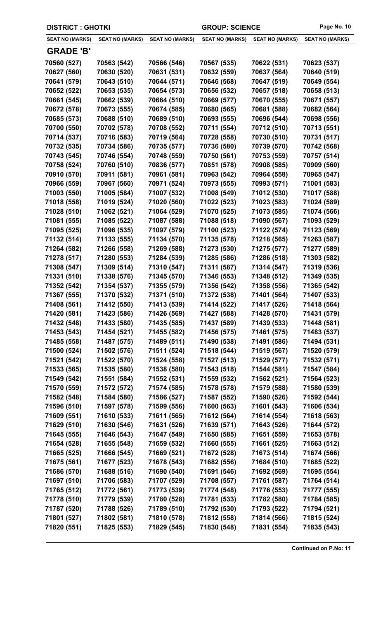| <b>DISTRICT: GHOTKI</b> |                        |                        | <b>GROUP: SCIENCE</b>  | Page No. 10            |                        |
|-------------------------|------------------------|------------------------|------------------------|------------------------|------------------------|
| <b>SEAT NO (MARKS)</b>  | <b>SEAT NO (MARKS)</b> | <b>SEAT NO (MARKS)</b> | <b>SEAT NO (MARKS)</b> | <b>SEAT NO (MARKS)</b> | <b>SEAT NO (MARKS)</b> |
| <b>GRADE 'B'</b>        |                        |                        |                        |                        |                        |
| 70560 (527)             | 70563 (542)            | 70566 (546)            | 70567 (535)            | 70622 (531)            | 70623 (537)            |
| 70627 (560)             | 70630 (520)            | 70631 (531)            | 70632 (559)            | 70637 (564)            | 70640 (519)            |
| 70641 (579)             | 70643 (510)            | 70644 (571)            | 70646 (568)            | 70647 (519)            | 70649 (554)            |
| 70652 (522)             | 70653 (535)            | 70654 (573)            | 70656 (532)            | 70657 (518)            | 70658 (513)            |
| 70661 (545)             | 70662 (539)            | 70664 (510)            | 70669 (577)            | 70670 (555)            | 70671 (557)            |
| 70672 (578)             | 70673 (555)            | 70674 (585)            | 70680 (565)            | 70681 (588)            | 70682 (564)            |
| 70685 (573)             | 70688 (510)            | 70689 (510)            | 70693 (555)            | 70696 (544)            | 70698 (556)            |
| 70700 (550)             | 70702 (578)            | 70708 (552)            | 70711 (554)            | 70712 (510)            | 70713 (551)            |
| 70714 (537)             | 70716 (583)            | 70719 (564)            | 70728 (558)            | 70730 (510)            | 70731 (517)            |
| 70732 (535)             | 70734 (586)            | 70735 (577)            | 70736 (580)            | 70739 (570)            | 70742 (568)            |
| 70743 (545)             | 70746 (554)            | 70748 (559)            | 70750 (561)            | 70753 (559)            | 70757 (514)            |
| 70758 (524)             | 70760 (510)            | 70836 (577)            | 70851 (578)            | 70908 (585)            | 70909 (560)            |
| 70910 (570)             | 70911 (581)            | 70961 (581)            | 70963 (542)            | 70964 (558)            | 70965 (547)            |
| 70966 (559)             | 70967 (560)            | 70971 (524)            | 70973 (555)            | 70993 (571)            | 71001 (583)            |
| 71003 (550)             | 71005 (584)            | 71007 (532)            | 71008 (549)            | 71012 (530)            | 71017 (588)            |
| 71018 (558)             | 71019 (524)            | 71020 (560)            | 71022 (523)            | 71023 (583)            | 71024 (589)            |
| 71028 (510)             | 71062 (521)            | 71064 (529)            | 71070 (525)            | 71073 (585)            | 71074 (566)            |
| 71081 (555)             | 71085 (522)            | 71087 (588)            | 71088 (518)            | 71090 (567)            | 71093 (529)            |
| 71095 (525)             | 71096 (535)            | 71097 (579)            | 71100 (523)            | 71122 (574)            | 71123 (569)            |
| 71132 (514)             | 71133 (555)            | 71134 (570)            | 71135 (578)            | 71218 (565)            | 71263 (587)            |
| 71264 (582)             | 71266 (558)            | 71269 (588)            | 71273 (530)            | 71275 (577)            | 71277 (589)            |
| 71278 (517)             | 71280 (553)            | 71284 (539)            | 71285 (586)            | 71286 (518)            | 71303 (582)            |
| 71308 (547)             | 71309 (514)            | 71310 (547)            | 71311 (587)            | 71314 (547)            | 71319 (536)            |
| 71331 (510)             | 71338 (576)            | 71345 (570)            | 71346 (553)            | 71348 (512)            | 71349 (535)            |
| 71352 (542)             | 71354 (537)            | 71355 (579)            | 71356 (542)            | 71358 (556)            | 71365 (542)            |
| 71367 (555)             | 71370 (532)            | 71371 (510)            | 71372 (538)            | 71401 (564)            | 71407 (533)            |
| 71408 (561)             | 71412 (550)            | 71413 (539)            | 71414 (522)            | 71417 (526)            | 71418 (564)            |
| 71420 (581)             | 71423 (586)            | 71426 (569)            | 71427 (588)            | 71428 (570)            | 71431 (579)            |
| 71432 (548)             | 71433 (580)            | 71435 (585)            | 71437 (589)            | 71439 (533)            | 71448 (581)            |
| 71453 (543)             | 71454 (521)            | 71455 (582)            | 71456 (575)            | 71461 (575)            | 71483 (537)            |
| 71485 (558)             | 71487 (575)            | 71489 (511)            | 71490 (538)            | 71491 (586)            | 71494 (531)            |
| 71500 (524)             | 71502 (576)            | 71511 (524)            | 71518 (544)            | 71519 (567)            | 71520 (579)            |
| 71521 (542)             | 71522 (570)            | 71524 (558)            | 71527 (513)            | 71529 (577)            | 71532 (571)            |
| 71533 (565)             | 71535 (580)            | 71538 (580)            | 71543 (518)            | 71544 (581)            | 71547 (584)            |
| 71549 (542)             | 71551 (584)            | 71552 (531)            | 71559 (532)            | 71562 (521)            | 71564 (523)            |
| 71570 (559)             | 71572 (572)            | 71574 (585)            | 71578 (578)            | 71579 (588)            | 71580 (539)            |
| 71582 (548)             | 71584 (580)            | 71586 (527)            | 71587 (552)            | 71590 (526)            | 71592 (544)            |
| 71596 (510)             | 71597 (578)            | 71599 (556)            | 71600 (563)            | 71601 (543)            | 71606 (534)            |
| 71609 (551)             | 71610 (533)            | 71611 (565)            | 71612 (564)            | 71614 (554)            | 71618 (563)            |
| 71629 (510)             | 71630 (546)            | 71631 (526)            | 71639 (571)            | 71643 (526)            | 71644 (572)            |
| 71645 (555)             | 71646 (543)            | 71647 (549)            | 71650 (585)            | 71651 (559)            | 71653 (578)            |
| 71654 (528)             | 71655 (548)            | 71659 (532)            | 71660 (555)            | 71661 (525)            | 71663 (512)            |
| 71665 (525)             | 71666 (545)            | 71669 (521)            | 71672 (528)            | 71673 (514)            | 71674 (566)            |
| 71675 (561)             | 71677 (523)            | 71678 (543)            | 71682 (556)            | 71684 (510)            | 71685 (522)            |
| 71686 (570)             | 71688 (516)            | 71690 (540)            | 71691 (546)            | 71692 (569)            | 71695 (554)            |
| 71697 (510)             | 71706 (583)            | 71707 (529)            | 71708 (557)            | 71761 (587)            | 71764 (514)            |
| 71765 (512)             | 71772 (561)            | 71773 (539)            | 71774 (548)            | 71776 (553)            | 71777 (555)            |
| 71778 (510)             | 71779 (539)            | 71780 (528)            | 71781 (533)            | 71782 (580)            | 71784 (585)            |
| 71787 (520)             | 71788 (526)            | 71789 (510)            | 71792 (530)            | 71793 (522)            | 71794 (521)            |
| 71801 (527)             | 71802 (581)            | 71810 (578)            | 71812 (558)            | 71814 (566)            | 71815 (524)            |
| 71820 (551)             | 71825 (553)            | 71829 (545)            | 71830 (548)            | 71831 (554)            | 71835 (543)            |
|                         |                        |                        |                        |                        |                        |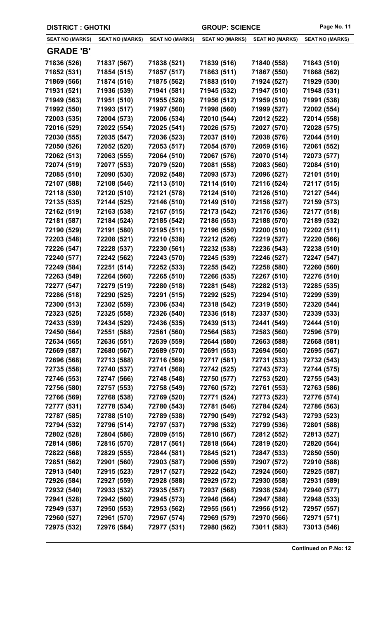| <b>DISTRICT : GHOTKI</b> |                        |                        | <b>GROUP: SCIENCE</b>  |                        | Page No. 11            |
|--------------------------|------------------------|------------------------|------------------------|------------------------|------------------------|
| <b>SEAT NO (MARKS)</b>   | <b>SEAT NO (MARKS)</b> | <b>SEAT NO (MARKS)</b> | <b>SEAT NO (MARKS)</b> | <b>SEAT NO (MARKS)</b> | <b>SEAT NO (MARKS)</b> |
| <b>GRADE 'B'</b>         |                        |                        |                        |                        |                        |
| 71836 (526)              | 71837 (567)            | 71838 (521)            | 71839 (516)            | 71840 (558)            | 71843 (510)            |
| 71852 (531)              | 71854 (515)            | 71857 (517)            | 71863 (511)            | 71867 (550)            | 71868 (562)            |
| 71869 (566)              | 71874 (516)            | 71875 (562)            | 71883 (510)            | 71924 (527)            | 71929 (530)            |
| 71931 (521)              | 71936 (539)            | 71941 (581)            | 71945 (532)            | 71947 (510)            | 71948 (531)            |
| 71949 (563)              | 71951 (510)            | 71955 (528)            | 71956 (512)            | 71959 (510)            | 71991 (538)            |
| 71992 (550)              | 71993 (517)            | 71997 (560)            | 71998 (560)            | 71999 (527)            | 72002 (554)            |
| 72003 (535)              | 72004 (573)            | 72006 (534)            | 72010 (544)            | 72012 (522)            | 72014 (558)            |
| 72016 (529)              | 72022 (554)            | 72025 (541)            | 72026 (575)            | 72027 (570)            | 72028 (575)            |
| 72030 (555)              | 72035 (547)            | 72036 (523)            | 72037 (510)            | 72038 (576)            | 72044 (510)            |
| 72050 (526)              | 72052 (520)            | 72053 (517)            | 72054 (570)            | 72059 (516)            | 72061 (552)            |
| 72062 (513)              | 72063 (555)            | 72064 (510)            | 72067 (576)            | 72070 (514)            | 72073 (577)            |
| 72074 (519)              | 72077 (553)            | 72079 (520)            | 72081 (558)            | 72083 (560)            | 72084 (510)            |
| 72085 (510)              | 72090 (530)            | 72092 (548)            | 72093 (573)            | 72096 (527)            | 72101 (510)            |
| 72107 (588)              | 72108 (546)            | 72113 (510)            | 72114 (510)            | 72116 (524)            | 72117 (515)            |
| 72118 (530)              | 72120 (510)            | 72121 (578)            | 72124 (510)            | 72126 (510)            | 72127 (544)            |
| 72135 (535)              | 72144 (525)            | 72146 (510)            | 72149 (510)            | 72158 (527)            | 72159 (573)            |
| 72162 (519)              | 72163 (538)            | 72167 (515)            | 72173 (542)            | 72176 (536)            | 72177 (518)            |
| 72181 (587)              | 72184 (524)            | 72185 (542)            | 72186 (553)            | 72188 (570)            | 72189 (532)            |
| 72190 (529)              | 72191 (580)            | 72195 (511)            | 72196 (550)            | 72200 (510)            | 72202 (511)            |
| 72203 (548)              | 72208 (521)            | 72210 (538)            | 72212 (526)            | 72219 (527)            | 72220 (566)            |
| 72226 (547)              | 72228 (537)            | 72230 (561)            | 72232 (538)            | 72236 (543)            | 72238 (510)            |
| 72240 (577)              | 72242 (562)            | 72243 (570)            | 72245 (539)            | 72246 (527)            | 72247 (547)            |
| 72249 (584)              | 72251 (514)            | 72252 (533)            | 72255 (542)            | 72258 (580)            | 72260 (560)            |
| 72263 (549)              | 72264 (560)            | 72265 (510)            | 72266 (535)            | 72267 (510)            | 72276 (510)            |
| 72277 (547)              | 72279 (519)            | 72280 (518)            | 72281 (548)            | 72282 (513)            | 72285 (535)            |
| 72286 (518)              | 72290 (525)            | 72291 (515)            | 72292 (525)            | 72294 (510)            | 72299 (539)            |
| 72300 (513)              | 72302 (559)            | 72306 (534)            | 72318 (542)            | 72319 (550)            | 72320 (544)            |
| 72323 (525)              | 72325 (558)            | 72326 (540)            | 72336 (518)            | 72337 (530)            | 72339 (533)            |
| 72433 (539)              | 72434 (529)            | 72436 (535)            | 72439 (513)            | 72441 (549)            | 72444 (510)            |
| 72450 (564)              | 72551 (588)            | 72561 (560)            | 72564 (583)            | 72583 (560)            | 72596 (579)            |
| 72634 (565)              | 72636 (551)            | 72639 (559)            | 72644 (580)            | 72663 (588)            | 72668 (581)            |
| 72669 (587)              | 72680 (567)            | 72689 (570)            | 72691 (553)            | 72694 (560)            | 72695 (567)            |
| 72696 (568)              | 72713 (588)            | 72716 (569)            | 72717 (581)            | 72731 (533)            | 72732 (543)            |
| 72735 (558)              | 72740 (537)            | 72741 (568)            | 72742 (525)            | 72743 (573)            | 72744 (575)            |
| 72746 (553)              | 72747 (566)            | 72748 (548)            | 72750 (577)            | 72753 (520)            | 72755 (543)            |
| 72756 (580)              | 72757 (553)            | 72758 (549)            | 72760 (572)            | 72761 (553)            | 72763 (586)            |
| 72766 (569)              | 72768 (538)            | 72769 (520)            | 72771 (524)            | 72773 (523)            | 72776 (574)            |
| 72777 (531)              | 72778 (534)            | 72780 (543)            | 72781 (546)            | 72784 (524)            | 72786 (563)            |
| 72787 (585)              | 72788 (510)            | 72789 (538)            | 72790 (549)            | 72792 (543)            | 72793 (523)            |
| 72794 (532)              | 72796 (514)            | 72797 (537)            | 72798 (532)            | 72799 (536)            | 72801 (588)            |
| 72802 (528)              | 72804 (586)            | 72809 (515)            | 72810 (567)            | 72812 (552)            | 72813 (527)            |
| 72814 (586)              | 72816 (570)            | 72817 (561)            | 72818 (564)            | 72819 (520)            | 72820 (564)            |
| 72822 (568)              | 72829 (555)            | 72844 (581)            | 72845 (521)            | 72847 (533)            | 72850 (550)            |
| 72851 (562)              | 72901 (560)            | 72903 (587)            | 72906 (559)            | 72907 (572)            | 72910 (588)            |
| 72913 (540)              | 72915 (523)            | 72917 (527)            | 72922 (542)            | 72924 (560)            | 72925 (587)            |
| 72926 (584)              | 72927 (559)            | 72928 (588)            | 72929 (572)            | 72930 (558)            | 72931 (589)            |
| 72932 (540)              | 72933 (532)            | 72935 (557)            | 72937 (568)            | 72938 (524)            | 72940 (577)            |
| 72941 (528)              | 72942 (560)            | 72945 (573)            | 72946 (564)            | 72947 (588)            | 72948 (533)            |
| 72949 (537)              | 72950 (553)            | 72953 (562)            | 72955 (561)            | 72956 (512)            | 72957 (557)            |
| 72960 (527)              | 72961 (570)            | 72967 (574)            | 72969 (579)            | 72970 (566)            | 72971 (571)            |
| 72975 (532)              | 72976 (584)            | 72977 (531)            | 72980 (562)            | 73011 (583)            | 73013 (546)            |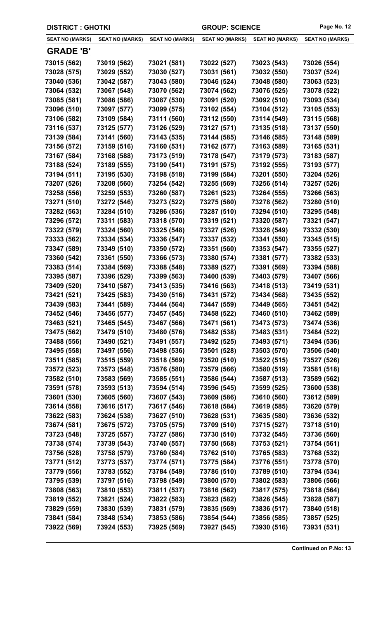| <b>DISTRICT : GHOTKI</b> |                        |                        | <b>GROUP: SCIENCE</b>  |                        | Page No. 12            |
|--------------------------|------------------------|------------------------|------------------------|------------------------|------------------------|
| <b>SEAT NO (MARKS)</b>   | <b>SEAT NO (MARKS)</b> | <b>SEAT NO (MARKS)</b> | <b>SEAT NO (MARKS)</b> | <b>SEAT NO (MARKS)</b> | <b>SEAT NO (MARKS)</b> |
| <b>GRADE 'B'</b>         |                        |                        |                        |                        |                        |
| 73015 (562)              | 73019 (562)            | 73021 (581)            | 73022 (527)            | 73023 (543)            | 73026 (554)            |
| 73028 (575)              | 73029 (552)            | 73030 (527)            | 73031 (561)            | 73032 (550)            | 73037 (524)            |
| 73040 (536)              | 73042 (587)            | 73043 (580)            | 73046 (524)            | 73048 (580)            | 73063 (523)            |
| 73064 (532)              | 73067 (548)            | 73070 (562)            | 73074 (562)            | 73076 (525)            | 73078 (522)            |
| 73085 (581)              | 73086 (586)            | 73087 (530)            | 73091 (520)            | 73092 (510)            | 73093 (534)            |
| 73096 (510)              | 73097 (577)            | 73099 (575)            | 73102 (554)            | 73104 (512)            | 73105 (553)            |
| 73106 (582)              | 73109 (584)            | 73111 (560)            | 73112 (550)            | 73114 (549)            | 73115 (568)            |
| 73116 (537)              | 73125 (577)            | 73126 (529)            | 73127 (571)            | 73135 (518)            | 73137 (550)            |
| 73139 (584)              | 73141 (560)            | 73143 (535)            | 73144 (585)            | 73146 (585)            | 73148 (589)            |
| 73156 (572)              | 73159 (516)            | 73160 (531)            | 73162 (577)            | 73163 (589)            | 73165 (531)            |
| 73167 (584)              | 73168 (588)            | 73173 (519)            | 73178 (547)            | 73179 (573)            | 73183 (587)            |
| 73188 (524)              | 73189 (555)            | 73190 (541)            | 73191 (575)            | 73192 (555)            | 73193 (577)            |
| 73194 (511)              | 73195 (530)            | 73198 (518)            | 73199 (584)            | 73201 (550)            | 73204 (526)            |
| 73207 (526)              | 73208 (560)            | 73254 (542)            | 73255 (569)            | 73256 (514)            | 73257 (526)            |
| 73258 (556)              | 73259 (553)            | 73260 (587)            | 73261 (523)            | 73264 (555)            | 73266 (563)            |
| 73271 (510)              | 73272 (546)            | 73273 (522)            | 73275 (580)            | 73278 (562)            | 73280 (510)            |
| 73282 (563)              | 73284 (510)            | 73286 (536)            | 73287 (510)            | 73294 (510)            | 73295 (548)            |
| 73296 (572)              | 73311 (583)            | 73318 (570)            | 73319 (521)            | 73320 (587)            | 73321 (547)            |
| 73322 (579)              | 73324 (560)            | 73325 (548)            | 73327 (526)            | 73328 (549)            | 73332 (530)            |
| 73333 (562)              | 73334 (534)            | 73336 (547)            | 73337 (532)            | 73341 (550)            | 73345 (515)            |
| 73347 (589)              | 73349 (510)            | 73350 (572)            | 73351 (560)            | 73353 (547)            | 73355 (527)            |
| 73360 (542)              | 73361 (550)            | 73366 (573)            | 73380 (574)            | 73381 (577)            | 73382 (533)            |
| 73383 (514)              | 73384 (569)            | 73388 (548)            | 73389 (527)            | 73391 (569)            | 73394 (588)            |
| 73395 (587)              | 73396 (529)            | 73399 (563)            | 73400 (539)            | 73403 (579)            | 73407 (566)            |
| 73409 (520)              | 73410 (587)            | 73413 (535)            | 73416 (563)            | 73418 (513)            | 73419 (531)            |
| 73421 (521)              | 73425 (583)            | 73430 (516)            | 73431 (572)            | 73434 (568)            | 73435 (552)            |
| 73439 (583)              | 73441 (589)            | 73444 (564)            | 73447 (559)            | 73449 (565)            | 73451 (542)            |
| 73452 (546)              | 73456 (577)            | 73457 (545)            | 73458 (522)            | 73460 (510)            | 73462 (589)            |
| 73463 (521)              | 73465 (545)            | 73467 (566)            | 73471 (561)            | 73473 (573)            | 73474 (536)            |
| 73475 (562)              | 73479 (510)            | 73480 (576)            | 73482 (538)            | 73483 (531)            | 73484 (522)            |
| 73488 (556)              | 73490 (521)            | 73491 (557)            | 73492 (525)            | 73493 (571)            | 73494 (536)            |
| 73495 (558)              | 73497 (556)            | 73498 (536)            | 73501 (528)            | 73503 (570)            | 73506 (540)            |
| 73511 (585)              | 73515 (559)            | 73518 (569)            | 73520 (510)            | 73522 (515)            | 73527 (526)            |
| 73572 (523)              | 73573 (548)            | 73576 (580)            | 73579 (566)            | 73580 (519)            | 73581 (518)            |
| 73582 (510)              | 73583 (569)            | 73585 (551)            | 73586 (544)            | 73587 (513)            | 73589 (562)            |
| 73591 (578)              | 73593 (513)            | 73594 (514)            | 73596 (545)            | 73599 (525)            | 73600 (538)            |
| 73601 (530)              | 73605 (560)            | 73607 (543)            | 73609 (586)            | 73610 (560)            | 73612 (589)            |
| 73614 (558)              | 73616 (517)            | 73617 (546)            | 73618 (584)            | 73619 (585)            | 73620 (579)            |
| 73622 (583)              | 73624 (538)            | 73627 (510)            | 73628 (531)            | 73635 (580)            | 73636 (532)            |
| 73674 (581)              | 73675 (572)            | 73705 (575)            | 73709 (510)            | 73715 (527)            | 73718 (510)            |
| 73723 (548)              | 73725 (557)            | 73727 (586)            | 73730 (510)            | 73732 (545)            | 73736 (560)            |
| 73738 (574)              | 73739 (543)            | 73740 (557)            | 73750 (568)            | 73753 (521)            | 73754 (561)            |
| 73756 (528)              | 73758 (579)            | 73760 (584)            | 73762 (510)            | 73765 (583)            | 73768 (532)            |
| 73771 (512)              | 73773 (537)            | 73774 (571)            | 73775 (584)            | 73776 (551)            | 73778 (570)            |
| 73779 (556)              | 73783 (552)            | 73784 (549)            | 73786 (510)            | 73789 (510)            | 73794 (534)            |
| 73795 (539)              | 73797 (516)            | 73798 (549)            | 73800 (570)            | 73802 (583)            | 73806 (566)            |
| 73808 (563)              | 73810 (553)            | 73811 (537)            | 73816 (562)            | 73817 (575)            | 73818 (564)            |
| 73819 (552)              | 73821 (524)            | 73822 (583)            | 73823 (582)            | 73826 (545)            | 73828 (587)            |
| 73829 (559)              | 73830 (539)            | 73831 (579)            | 73835 (569)            | 73836 (517)            | 73840 (518)            |
| 73841 (584)              | 73848 (534)            | 73853 (586)            | 73854 (544)            | 73856 (585)            | 73857 (525)            |
| 73922 (569)              | 73924 (553)            | 73925 (569)            | 73927 (545)            | 73930 (516)            | 73931 (531)            |
|                          |                        |                        |                        |                        |                        |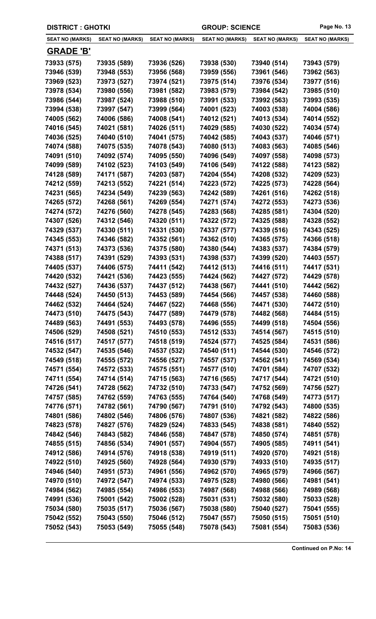| <b>DISTRICT : GHOTKI</b> | <b>GROUP: SCIENCE</b>  |                        | Page No. 13            |                        |                        |
|--------------------------|------------------------|------------------------|------------------------|------------------------|------------------------|
| <b>SEAT NO (MARKS)</b>   | <b>SEAT NO (MARKS)</b> | <b>SEAT NO (MARKS)</b> | <b>SEAT NO (MARKS)</b> | <b>SEAT NO (MARKS)</b> | <b>SEAT NO (MARKS)</b> |
| <b>GRADE 'B'</b>         |                        |                        |                        |                        |                        |
| 73933 (575)              | 73935 (589)            | 73936 (526)            | 73938 (530)            | 73940 (514)            | 73943 (579)            |
| 73946 (539)              | 73948 (553)            | 73956 (568)            | 73959 (556)            | 73961 (546)            | 73962 (563)            |
| 73969 (523)              | 73973 (527)            | 73974 (521)            | 73975 (514)            | 73976 (534)            | 73977 (516)            |
| 73978 (534)              | 73980 (556)            | 73981 (582)            | 73983 (579)            | 73984 (542)            | 73985 (510)            |
| 73986 (544)              | 73987 (524)            | 73988 (510)            | 73991 (533)            | 73992 (563)            | 73993 (535)            |
| 73994 (538)              | 73997 (547)            | 73999 (564)            | 74001 (523)            | 74003 (538)            | 74004 (586)            |
| 74005 (562)              | 74006 (586)            | 74008 (541)            | 74012 (521)            | 74013 (534)            | 74014 (552)            |
| 74016 (545)              | 74021 (581)            | 74026 (511)            | 74029 (585)            | 74030 (522)            | 74034 (574)            |
| 74036 (525)              | 74040 (510)            | 74041 (575)            | 74042 (585)            | 74043 (537)            | 74046 (571)            |
| 74074 (588)              | 74075 (535)            | 74078 (543)            | 74080 (513)            | 74083 (563)            | 74085 (546)            |
| 74091 (510)              | 74092 (574)            | 74095 (550)            | 74096 (549)            | 74097 (558)            | 74098 (573)            |
| 74099 (589)              | 74102 (523)            | 74103 (549)            | 74106 (549)            | 74122 (588)            | 74123 (582)            |
| 74128 (589)              | 74171 (587)            | 74203 (587)            | 74204 (554)            | 74208 (532)            | 74209 (523)            |
| 74212 (559)              | 74213 (552)            | 74221 (514)            | 74223 (572)            | 74225 (573)            | 74228 (564)            |
| 74231 (565)              | 74234 (549)            | 74239 (563)            | 74242 (589)            | 74261 (516)            | 74262 (518)            |
| 74265 (572)              | 74268 (561)            | 74269 (554)            | 74271 (574)            | 74272 (553)            | 74273 (536)            |
| 74274 (572)              | 74276 (560)            | 74278 (545)            | 74283 (568)            | 74285 (581)            | 74304 (520)            |
| 74307 (526)              | 74312 (546)            | 74320 (511)            | 74322 (572)            | 74325 (588)            | 74328 (552)            |
| 74329 (537)              | 74330 (511)            | 74331 (530)            | 74337 (577)            | 74339 (516)            | 74343 (525)            |
| 74345 (553)              | 74346 (582)            | 74352 (561)            | 74362 (510)            | 74365 (575)            | 74366 (518)            |
| 74371 (513)              | 74373 (536)            | 74375 (580)            | 74380 (544)            | 74383 (537)            | 74384 (579)            |
| 74388 (517)              | 74391 (529)            | 74393 (531)            | 74398 (537)            | 74399 (520)            | 74403 (557)            |
| 74405 (537)              | 74406 (575)            | 74411 (542)            | 74412 (513)            | 74416 (511)            | 74417 (531)            |
| 74420 (532)              | 74421 (536)            | 74423 (555)            | 74424 (562)            | 74427 (572)            | 74429 (578)            |
| 74432 (527)              | 74436 (537)            | 74437 (512)            | 74438 (567)            | 74441 (510)            | 74442 (562)            |
| 74448 (524)              | 74450 (513)            | 74453 (589)            | 74454 (566)            | 74457 (538)            | 74460 (588)            |
| 74462 (532)              | 74464 (524)            | 74467 (522)            | 74468 (556)            | 74471 (530)            | 74472 (510)            |
| 74473 (510)              | 74475 (543)            | 74477 (589)            | 74479 (578)            | 74482 (568)            | 74484 (515)            |
| 74489 (563)              | 74491 (553)            | 74493 (578)            | 74496 (555)            | 74499 (518)            | 74504 (556)            |
| 74506 (529)              | 74508 (521)            | 74510 (553)            | 74512 (533)            | 74514 (567)            | 74515 (510)            |
| 74516 (517)              | 74517 (577)            | 74518 (519)            | 74524 (577)            | 74525 (584)            | 74531 (586)            |
| 74532 (547)              | 74535 (546)            | 74537 (532)            | 74540 (511)            | 74544 (530)            | 74546 (572)            |
| 74549 (518)              | 74555 (572)            | 74556 (527)            | 74557 (537)            | 74562 (541)            | 74569 (534)            |
| 74571 (554)              | 74572 (533)            | 74575 (551)            | 74577 (510)            | 74701 (584)            | 74707 (532)            |
| 74711 (554)              | 74714 (514)            | 74715 (563)            | 74716 (565)            | 74717 (544)            | 74721 (510)            |
| 74726 (541)              | 74728 (562)            | 74732 (510)            | 74733 (547)            | 74752 (569)            | 74756 (527)            |
| 74757 (585)              | 74762 (559)            | 74763 (555)            | 74764 (540)            | 74768 (549)            | 74773 (517)            |
| 74776 (571)              | 74782 (561)            | 74790 (567)            | 74791 (510)            | 74792 (543)            | 74800 (535)            |
| 74801 (586)              | 74802 (546)            | 74806 (576)            | 74807 (536)            | 74821 (582)            | 74822 (586)            |
| 74823 (578)              | 74827 (576)            | 74829 (524)            | 74833 (545)            | 74838 (581)            | 74840 (552)            |
| 74842 (546)              | 74843 (582)            | 74846 (558)            | 74847 (578)            | 74850 (574)            | 74851 (578)            |
| 74855 (515)              | 74856 (534)            | 74901 (557)            | 74904 (557)            | 74905 (585)            | 74911 (541)            |
| 74912 (586)              | 74914 (576)            | 74918 (538)            | 74919 (511)            | 74920 (570)            | 74921 (518)            |
| 74922 (510)              | 74925 (560)            | 74928 (564)            | 74930 (579)            | 74933 (510)            | 74935 (517)            |
| 74946 (540)              | 74951 (573)            | 74961 (556)            | 74962 (570)            | 74965 (579)            | 74966 (567)            |
| 74970 (510)              | 74972 (547)            | 74974 (533)            | 74975 (528)            | 74980 (566)            | 74981 (541)            |
| 74984 (562)              | 74985 (554)            | 74986 (553)            | 74987 (568)            | 74988 (566)            | 74989 (568)            |
| 74991 (536)              | 75001 (542)            | 75002 (528)            | 75031 (531)            | 75032 (580)            | 75033 (528)            |
| 75034 (580)              | 75035 (517)            | 75036 (567)            | 75038 (580)            | 75040 (527)            | 75041 (555)            |
| 75042 (552)              | 75043 (550)            | 75046 (512)            | 75047 (557)            | 75050 (515)            | 75051 (510)            |
| 75052 (543)              | 75053 (549)            | 75055 (548)            | 75078 (543)            | 75081 (554)            | 75083 (536)            |
|                          |                        |                        |                        |                        |                        |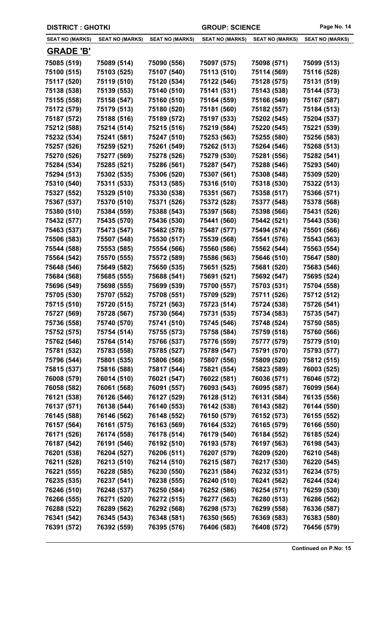| <b>DISTRICT: GHOTKI</b> |                        |                        | <b>GROUP: SCIENCE</b>  |                        | Page No. 14            |
|-------------------------|------------------------|------------------------|------------------------|------------------------|------------------------|
| <b>SEAT NO (MARKS)</b>  | <b>SEAT NO (MARKS)</b> | <b>SEAT NO (MARKS)</b> | <b>SEAT NO (MARKS)</b> | <b>SEAT NO (MARKS)</b> | <b>SEAT NO (MARKS)</b> |
| <b>GRADE 'B'</b>        |                        |                        |                        |                        |                        |
| 75085 (519)             | 75089 (514)            | 75090 (556)            | 75097 (575)            | 75098 (571)            | 75099 (513)            |
| 75100 (515)             | 75103 (525)            | 75107 (540)            | 75113 (510)            | 75114 (569)            | 75116 (528)            |
| 75117 (520)             | 75119 (510)            | 75120 (534)            | 75122 (546)            | 75128 (575)            | 75131 (519)            |
| 75138 (538)             | 75139 (553)            | 75140 (510)            | 75141 (531)            | 75143 (538)            | 75144 (573)            |
| 75155 (558)             | 75158 (547)            | 75160 (510)            | 75164 (559)            | 75166 (549)            | 75167 (587)            |
| 75172 (579)             | 75179 (513)            | 75180 (520)            | 75181 (560)            | 75182 (557)            | 75184 (513)            |
| 75187 (572)             | 75188 (516)            | 75189 (572)            | 75197 (533)            | 75202 (545)            | 75204 (537)            |
| 75212 (588)             | 75214 (514)            | 75215 (516)            | 75219 (584)            | 75220 (545)            | 75221 (539)            |
| 75232 (534)             | 75241 (581)            | 75247 (510)            | 75253 (563)            | 75255 (580)            | 75256 (583)            |
| 75257 (526)             | 75259 (521)            | 75261 (549)            | 75262 (513)            | 75264 (546)            | 75268 (513)            |
| 75270 (526)             | 75277 (569)            | 75278 (526)            | 75279 (530)            | 75281 (556)            | 75282 (541)            |
| 75284 (534)             | 75285 (521)            | 75286 (561)            | 75287 (547)            | 75288 (546)            | 75293 (540)            |
| 75294 (513)             | 75302 (535)            | 75306 (520)            | 75307 (561)            | 75308 (548)            | 75309 (520)            |
| 75310 (540)             | 75311 (533)            | 75313 (585)            | 75316 (510)            | 75318 (530)            | 75322 (513)            |
| 75327 (552)             | 75329 (510)            | 75330 (538)            | 75351 (567)            | 75358 (517)            | 75366 (571)            |
| 75367 (537)             | 75370 (510)            | 75371 (526)            | 75372 (528)            | 75377 (548)            | 75378 (568)            |
| 75380 (510)             | 75384 (559)            | 75388 (543)            | 75397 (568)            | 75398 (566)            | 75431 (526)            |
| 75432 (577)             | 75435 (570)            | 75436 (530)            | 75441 (560)            | 75442 (521)            | 75443 (536)            |
| 75463 (537)             | 75473 (547)            | 75482 (578)            | 75487 (577)            | 75494 (574)            | 75501 (566)            |
| 75506 (583)             | 75507 (548)            | 75530 (517)            | 75539 (568)            | 75541 (576)            | 75543 (563)            |
| 75544 (588)             | 75553 (585)            | 75554 (566)            | 75560 (586)            | 75562 (544)            | 75563 (554)            |
| 75564 (542)             | 75570 (555)            | 75572 (589)            | 75586 (563)            | 75646 (510)            | 75647 (580)            |
| 75648 (546)             | 75649 (582)            | 75650 (535)            | 75651 (525)            | 75681 (520)            | 75683 (546)            |
| 75684 (568)             | 75685 (555)            | 75688 (541)            | 75691 (521)            | 75692 (547)            | 75695 (524)            |
| 75696 (549)             | 75698 (555)            | 75699 (539)            | 75700 (557)            | 75703 (531)            | 75704 (558)            |
| 75705 (530)             | 75707 (552)            | 75708 (551)            | 75709 (529)            | 75711 (526)            | 75712 (512)            |
| 75715 (510)             | 75720 (515)            | 75721 (563)            | 75723 (514)            | 75724 (538)            | 75726 (541)            |
| 75727 (569)             | 75728 (567)            | 75730 (564)            | 75731 (535)            | 75734 (583)            | 75735 (547)            |
| 75736 (558)             | 75740 (570)            | 75741 (510)            | 75745 (546)            | 75748 (524)            | 75750 (585)            |
| 75752 (575)             | 75754 (514)            | 75755 (573)            | 75758 (584)            | 75759 (518)            | 75760 (566)            |
| 75762 (546)             | 75764 (514)            | 75766 (537)            | 75776 (559)            | 75777 (579)            | 75779 (510)            |
| 75781 (532)             | 75783 (558)            | 75785 (527)            | 75789 (547)            | 75791 (570)            | 75793 (577)            |
| 75796 (544)             | 75801 (535)            | 75806 (568)            | 75807 (556)            | 75809 (520)            | 75812 (515)            |
| 75815 (537)             | 75816 (588)            | 75817 (544)            | 75821 (554)            | 75823 (589)            | 76003 (525)            |
| 76008 (579)             | 76014 (510)            | 76021 (547)            | 76022 (581)            | 76036 (571)            | 76046 (572)            |
| 76058 (582)             | 76061 (568)            | 76091 (557)            | 76093 (543)            | 76095 (587)            | 76099 (564)            |
| 76121 (538)             | 76126 (546)            | 76127 (529)            | 76128 (512)            | 76131 (584)            | 76135 (556)            |
| 76137 (571)             | 76138 (544)            | 76140 (553)            | 76142 (538)            | 76143 (582)            | 76144 (550)            |
| 76145 (588)             | 76146 (562)            | 76148 (552)            | 76150 (579)            | 76152 (573)            | 76155 (552)            |
| 76157 (564)             | 76161 (575)            | 76163 (569)            | 76164 (532)            | 76165 (579)            | 76166 (550)            |
| 76171 (526)             | 76174 (558)            | 76178 (514)            | 76179 (540)            | 76184 (552)            | 76185 (524)            |
| 76187 (542)             | 76191 (546)            | 76192 (510)            | 76193 (578)            | 76197 (563)            | 76198 (543)            |
| 76201 (538)             | 76204 (527)            | 76206 (511)            | 76207 (579)            | 76209 (520)            | 76210 (548)            |
| 76211 (528)             | 76213 (510)            | 76214 (510)            | 76215 (587)            | 76217 (530)            | 76220 (545)            |
| 76221 (555)             | 76228 (585)            | 76230 (550)            | 76231 (584)            | 76232 (531)            | 76234 (575)            |
| 76235 (535)             | 76237 (541)            | 76238 (555)            | 76240 (510)            | 76241 (562)            | 76244 (524)            |
| 76246 (510)             | 76248 (537)            | 76250 (584)            | 76252 (586)            | 76254 (571)            | 76259 (530)            |
| 76266 (555)             | 76271 (520)            | 76272 (515)            | 76277 (563)            | 76280 (513)            | 76286 (562)            |
| 76288 (522)             | 76289 (562)            | 76292 (568)            | 76298 (573)            | 76299 (558)            | 76336 (587)            |
| 76341 (542)             | 76345 (543)            | 76348 (581)            | 76350 (565)            | 76369 (583)            | 76383 (580)            |
| 76391 (572)             | 76392 (559)            | 76395 (576)            | 76406 (583)            | 76408 (572)            | 76456 (579)            |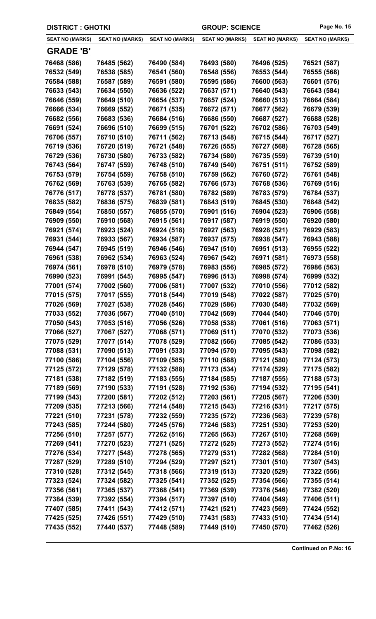| <b>DISTRICT : GHOTKI</b>   |                            |                            | <b>GROUP: SCIENCE</b>      |                            | Page No. 15                |
|----------------------------|----------------------------|----------------------------|----------------------------|----------------------------|----------------------------|
| <b>SEAT NO (MARKS)</b>     | <b>SEAT NO (MARKS)</b>     | <b>SEAT NO (MARKS)</b>     | <b>SEAT NO (MARKS)</b>     | <b>SEAT NO (MARKS)</b>     | <b>SEAT NO (MARKS)</b>     |
| <b>GRADE 'B'</b>           |                            |                            |                            |                            |                            |
| 76468 (586)                | 76485 (562)                | 76490 (584)                | 76493 (580)                | 76496 (525)                | 76521 (587)                |
| 76532 (549)                | 76538 (585)                | 76541 (560)                | 76548 (556)                | 76553 (544)                | 76555 (568)                |
| 76584 (588)                | 76587 (589)                | 76591 (580)                | 76595 (586)                | 76600 (563)                | 76601 (576)                |
| 76633 (543)                | 76634 (550)                | 76636 (522)                | 76637 (571)                | 76640 (543)                | 76643 (584)                |
| 76646 (559)                | 76649 (510)                | 76654 (537)                | 76657 (524)                | 76660 (513)                | 76664 (584)                |
| 76666 (534)                | 76669 (552)                | 76671 (535)                | 76672 (571)                | 76677 (562)                | 76679 (539)                |
| 76682 (556)                | 76683 (536)                | 76684 (516)                | 76686 (550)                | 76687 (527)                | 76688 (528)                |
| 76691 (524)                | 76696 (510)                | 76699 (515)                | 76701 (522)                | 76702 (586)                | 76703 (549)                |
| 76706 (557)                | 76710 (510)                | 76711 (562)                | 76713 (548)                | 76715 (544)                | 76717 (527)                |
| 76719 (536)                | 76720 (519)                | 76721 (548)                | 76726 (555)                | 76727 (568)                | 76728 (565)                |
| 76729 (536)                | 76730 (580)                | 76733 (582)                | 76734 (580)                | 76735 (559)                | 76739 (510)                |
| 76743 (564)                | 76747 (559)                | 76748 (510)                | 76749 (540)                | 76751 (511)                | 76752 (589)                |
| 76753 (579)                | 76754 (559)                | 76758 (510)                | 76759 (562)                | 76760 (572)                | 76761 (548)                |
| 76762 (569)                | 76763 (539)                | 76765 (582)                | 76766 (573)                | 76768 (536)                | 76769 (516)                |
| 76776 (517)                | 76778 (537)                | 76781 (580)                | 76782 (589)                | 76783 (579)                | 76784 (537)                |
| 76835 (582)                | 76836 (575)                | 76839 (581)                | 76843 (519)                | 76845 (530)                | 76848 (542)                |
| 76849 (554)                | 76850 (557)                | 76855 (570)                | 76901 (516)                | 76904 (523)                | 76906 (558)                |
| 76909 (550)                | 76910 (568)                | 76915 (561)                | 76917 (587)                | 76919 (550)                | 76920 (580)                |
| 76921 (574)                | 76923 (524)                | 76924 (518)                | 76927 (563)                | 76928 (521)                | 76929 (583)                |
| 76931 (544)                | 76933 (567)                | 76934 (587)                | 76937 (575)                | 76938 (547)                | 76943 (588)                |
| 76944 (547)                | 76945 (519)                | 76946 (546)                | 76947 (510)                | 76951 (513)                | 76955 (522)                |
| 76961 (538)                | 76962 (534)                | 76963 (524)                | 76967 (542)                | 76971 (581)                | 76973 (558)                |
| 76974 (561)                | 76978 (510)                | 76979 (578)                | 76983 (556)                | 76985 (572)                | 76986 (563)                |
| 76990 (523)                | 76991 (545)                | 76995 (547)                | 76996 (513)                | 76998 (574)                | 76999 (532)                |
| 77001 (574)                | 77002 (560)                | 77006 (581)                | 77007 (532)                | 77010 (556)                | 77012 (582)                |
| 77015 (575)                | 77017 (555)                | 77018 (544)                | 77019 (548)                | 77022 (587)                | 77025 (570)                |
| 77026 (569)                | 77027 (538)                | 77028 (546)                | 77029 (586)                | 77030 (548)                | 77032 (569)                |
| 77033 (552)                | 77036 (567)                | 77040 (510)                | 77042 (569)                | 77044 (540)                | 77046 (570)                |
| 77050 (543)                | 77053 (516)                | 77056 (526)                | 77058 (538)                | 77061 (516)                | 77063 (571)                |
| 77066 (527)                | 77067 (527)                | 77068 (571)                | 77069 (511)                | 77070 (532)                | 77073 (536)                |
| 77075 (529)                | 77077 (514)                | 77078 (529)                | 77082 (566)                | 77085 (542)                | 77086 (533)                |
| 77088 (531)                | 77090 (513)                | 77091 (533)                | 77094 (570)                | 77095 (543)                | 77098 (582)                |
| 77100 (586)                | 77104 (556)                | 77109 (585)                | 77110 (588)                | 77121 (580)                | 77124 (573)                |
| 77125 (572)                | 77129 (578)                | 77132 (588)                | 77173 (534)                | 77174 (529)                | 77175 (582)                |
| 77181 (538)                | 77182 (519)                | 77183 (555)                | 77184 (585)                | 77187 (555)                | 77188 (573)                |
| 77189 (569)                | 77190 (533)                | 77191 (528)                | 77192 (536)                | 77194 (532)                | 77195 (541)                |
| 77199 (543)                | 77200 (581)                | 77202 (512)                | 77203 (561)                | 77205 (567)                | 77206 (530)                |
| 77209 (535)                | 77213 (566)                | 77214 (548)                | 77215 (543)                | 77216 (531)                | 77217 (575)                |
| 77221 (510)                | 77231 (578)                | 77232 (559)                | 77235 (572)                | 77236 (563)                | 77239 (578)                |
| 77243 (585)                | 77244 (580)                | 77245 (576)                | 77246 (583)                | 77251 (530)                | 77253 (520)                |
| 77256 (510)                | 77257 (577)                | 77262 (516)                | 77265 (563)                | 77267 (510)                | 77268 (569)                |
| 77269 (541)<br>77276 (534) | 77270 (523)<br>77277 (548) | 77271 (525)<br>77278 (565) | 77272 (525)<br>77279 (531) | 77273 (552)<br>77282 (568) | 77274 (516)<br>77284 (510) |
| 77287 (529)                | 77289 (510)                | 77294 (529)                | 77297 (521)                | 77301 (510)                |                            |
| 77310 (528)                | 77312 (545)                | 77318 (566)                | 77319 (513)                | 77320 (529)                | 77307 (543)<br>77322 (556) |
| 77323 (524)                | 77324 (582)                | 77325 (541)                | 77352 (525)                | 77354 (566)                | 77355 (514)                |
| 77356 (561)                | 77365 (537)                | 77368 (541)                | 77369 (539)                | 77376 (546)                | 77382 (520)                |
| 77384 (539)                | 77392 (554)                | 77394 (517)                | 77397 (510)                | 77404 (549)                | 77406 (511)                |
| 77407 (585)                | 77411 (543)                | 77412 (571)                | 77421 (521)                | 77423 (569)                | 77424 (552)                |
| 77425 (525)                | 77426 (551)                | 77429 (510)                | 77431 (583)                | 77433 (510)                | 77434 (514)                |
| 77435 (552)                | 77440 (537)                | 77448 (589)                | 77449 (510)                | 77450 (570)                | 77462 (526)                |
|                            |                            |                            |                            |                            |                            |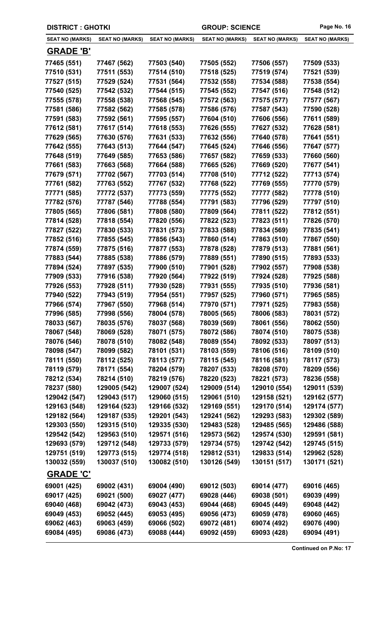| <b>DISTRICT : GHOTKI</b> |                        |                        | <b>GROUP: SCIENCE</b>  |                        | Page No. 16            |
|--------------------------|------------------------|------------------------|------------------------|------------------------|------------------------|
| <b>SEAT NO (MARKS)</b>   | <b>SEAT NO (MARKS)</b> | <b>SEAT NO (MARKS)</b> | <b>SEAT NO (MARKS)</b> | <b>SEAT NO (MARKS)</b> | <b>SEAT NO (MARKS)</b> |
| <b>GRADE 'B'</b>         |                        |                        |                        |                        |                        |
| 77465 (551)              | 77467 (562)            | 77503 (540)            | 77505 (552)            | 77506 (557)            | 77509 (533)            |
| 77510 (531)              | 77511 (553)            | 77514 (510)            | 77518 (525)            | 77519 (574)            | 77521 (539)            |
| 77527 (515)              | 77529 (524)            | 77531 (564)            | 77532 (558)            | 77534 (588)            | 77538 (554)            |
| 77540 (525)              | 77542 (532)            | 77544 (515)            | 77545 (552)            | 77547 (516)            | 77548 (512)            |
| 77555 (578)              | 77558 (538)            | 77568 (545)            | 77572 (563)            | 77575 (577)            | 77577 (567)            |
| 77581 (586)              | 77582 (562)            | 77585 (578)            | 77586 (576)            | 77587 (543)            | 77590 (528)            |
| 77591 (583)              | 77592 (561)            | 77595 (557)            | 77604 (510)            | 77606 (556)            | 77611 (589)            |
| 77612 (581)              | 77617 (514)            | 77618 (553)            | 77626 (555)            | 77627 (532)            | 77628 (581)            |
| 77629 (565)              | 77630 (576)            | 77631 (533)            | 77632 (556)            | 77640 (578)            | 77641 (551)            |
| 77642 (555)              | 77643 (513)            | 77644 (547)            | 77645 (524)            | 77646 (556)            | 77647 (577)            |
| 77648 (519)              | 77649 (585)            | 77653 (586)            | 77657 (582)            | 77659 (533)            | 77660 (560)            |
| 77661 (583)              | 77663 (568)            | 77664 (588)            | 77665 (526)            | 77669 (520)            | 77677 (541)            |
| 77679 (571)              | 77702 (567)            | 77703 (514)            | 77708 (510)            | 77712 (522)            | 77713 (574)            |
| 77761 (582)              | 77763 (552)            | 77767 (532)            | 77768 (522)            | 77769 (555)            | 77770 (579)            |
| 77771 (585)              | 77772 (537)            | 77773 (559)            | 77775 (552)            | 77777 (582)            | 77778 (510)            |
| 77782 (576)              | 77787 (546)            | 77788 (554)            | 77791 (583)            | 77796 (529)            | 77797 (510)            |
| 77805 (565)              | 77806 (581)            | 77808 (580)            | 77809 (564)            | 77811 (522)            | 77812 (551)            |
| 77814 (528)              | 77818 (554)            | 77820 (556)            | 77822 (523)            | 77823 (511)            | 77826 (570)            |
| 77827 (522)              | 77830 (533)            | 77831 (573)            | 77833 (588)            | 77834 (569)            | 77835 (541)            |
| 77852 (516)              | 77855 (545)            | 77856 (543)            | 77860 (514)            | 77863 (510)            | 77867 (550)            |
| 77874 (559)              | 77875 (516)            | 77877 (553)            | 77878 (528)            | 77879 (513)            | 77881 (561)            |
| 77883 (544)              | 77885 (538)            | 77886 (579)            | 77889 (551)            | 77890 (515)            | 77893 (533)            |
| 77894 (524)              | 77897 (535)            | 77900 (510)            | 77901 (528)            | 77902 (557)            | 77908 (538)            |
| 77909 (533)              | 77916 (538)            | 77920 (564)            | 77922 (519)            | 77924 (528)            | 77925 (588)            |
| 77926 (553)              | 77928 (511)            | 77930 (528)            | 77931 (555)            | 77935 (510)            | 77936 (581)            |
| 77940 (522)              | 77943 (519)            | 77954 (551)            | 77957 (525)            | 77960 (571)            | 77965 (585)            |
| 77966 (574)              | 77967 (550)            | 77968 (514)            | 77970 (571)            | 77971 (525)            | 77983 (558)            |
| 77996 (585)              | 77998 (556)            | 78004 (578)            | 78005 (565)            | 78006 (583)            | 78031 (572)            |
| 78033 (567)              | 78035 (576)            | 78037 (568)            | 78039 (569)            | 78061 (556)            | 78062 (550)            |
| 78067 (548)              | 78069 (528)            | 78071 (575)            | 78072 (586)            | 78074 (510)            | 78075 (538)            |
| 78076 (546)              | 78078 (510)            | 78082 (548)            | 78089 (554)            | 78092 (533)            | 78097 (513)            |
| 78098 (547)              | 78099 (582)            | 78101 (531)            | 78103 (559)            | 78106 (516)            | 78109 (510)            |
| 78111 (550)              | 78112 (525)            | 78113 (577)            | 78115 (545)            | 78116 (581)            | 78117 (573)            |
| 78119 (579)              | 78171 (554)            | 78204 (579)            | 78207 (533)            | 78208 (570)            | 78209 (556)            |
| 78212 (534)              | 78214 (510)            | 78219 (576)            | 78220 (523)            | 78221 (573)            | 78236 (558)            |
| 78237 (580)              | 129005 (542)           | 129007 (524)           | 129009 (514)           | 129010 (554)           | 129011 (539)           |
| 129042 (547)             | 129043 (517)           | 129060 (515)           | 129061 (510)           | 129158 (521)           | 129162 (577)           |
| 129163 (548)             | 129164 (523)           | 129166 (532)           | 129169 (551)           | 129170 (514)           | 129174 (577)           |
| 129182 (564)             | 129187 (535)           | 129201 (543)           | 129241 (562)           | 129293 (583)           | 129302 (589)           |
| 129303 (550)             | 129315 (510)           | 129335 (530)           | 129483 (528)           | 129485 (565)           | 129486 (588)           |
| 129542 (542)             | 129563 (510)           | 129571 (516)           | 129573 (562)           | 129574 (530)           | 129591 (581)           |
| 129693 (579)             | 129712 (548)           | 129733 (579)           | 129734 (575)           | 129742 (542)           | 129745 (515)           |
| 129751 (519)             | 129773 (515)           | 129774 (518)           | 129812 (531)           | 129833 (514)           | 129962 (528)           |
| 130032 (559)             | 130037 (510)           | 130082 (510)           | 130126 (549)           | 130151 (517)           | 130171 (521)           |
| <b>GRADE 'C'</b>         |                        |                        |                        |                        |                        |
| 69001 (425)              | 69002 (431)            | 69004 (490)            | 69012 (503)            | 69014 (477)            | 69016 (465)            |
| 69017 (425)              | 69021 (500)            | 69027 (477)            | 69028 (446)            | 69038 (501)            | 69039 (499)            |
| 69040 (468)              | 69042 (473)            | 69043 (453)            | 69044 (468)            | 69045 (449)            | 69048 (442)            |
| 69049 (453)              | 69052 (445)            | 69053 (495)            | 69056 (473)            | 69059 (478)            | 69060 (465)            |
| 69062 (463)              | 69063 (459)            | 69066 (502)            | 69072 (481)            | 69074 (492)            | 69076 (490)            |
| 69084 (495)              | 69086 (473)            | 69088 (444)            | 69092 (459)            | 69093 (428)            | 69094 (491)            |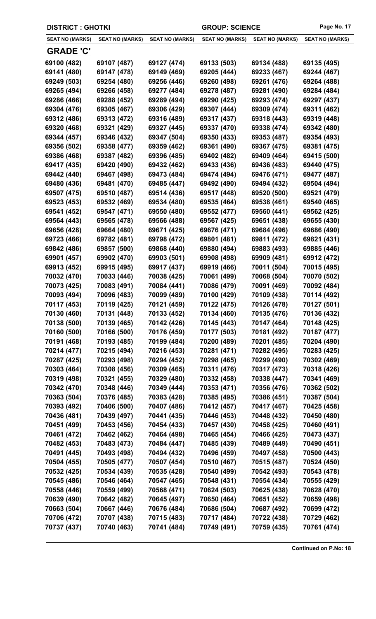| <b>DISTRICT : GHOTKI</b> |                        |                        | <b>GROUP: SCIENCE</b>  |                        | Page No. 17            |
|--------------------------|------------------------|------------------------|------------------------|------------------------|------------------------|
| <b>SEAT NO (MARKS)</b>   | <b>SEAT NO (MARKS)</b> | <b>SEAT NO (MARKS)</b> | <b>SEAT NO (MARKS)</b> | <b>SEAT NO (MARKS)</b> | <b>SEAT NO (MARKS)</b> |
| <u>GRADE 'C'</u>         |                        |                        |                        |                        |                        |
| 69100 (482)              | 69107 (487)            | 69127 (474)            | 69133 (503)            | 69134 (488)            | 69135 (495)            |
| 69141 (480)              | 69147 (478)            | 69149 (469)            | 69205 (444)            | 69233 (467)            | 69244 (467)            |
| 69249 (503)              | 69254 (480)            | 69256 (446)            | 69260 (498)            | 69261 (476)            | 69264 (488)            |
| 69265 (494)              | 69266 (458)            | 69277 (484)            | 69278 (487)            | 69281 (490)            | 69284 (484)            |
| 69286 (466)              | 69288 (452)            | 69289 (494)            | 69290 (425)            | 69293 (474)            | 69297 (437)            |
| 69304 (476)              | 69305 (467)            | 69306 (429)            | 69307 (444)            | 69309 (474)            | 69311 (462)            |
| 69312 (486)              | 69313 (472)            | 69316 (489)            | 69317 (437)            | 69318 (443)            | 69319 (448)            |
| 69320 (468)              | 69321 (429)            | 69327 (445)            | 69337 (470)            | 69338 (474)            | 69342 (480)            |
| 69344 (457)              | 69346 (432)            | 69347 (504)            | 69350 (433)            | 69353 (487)            | 69354 (493)            |
| 69356 (502)              | 69358 (477)            | 69359 (462)            | 69361 (490)            | 69367 (475)            | 69381 (475)            |
| 69386 (468)              | 69387 (482)            | 69396 (485)            | 69402 (482)            | 69409 (464)            | 69415 (500)            |
| 69417 (435)              | 69420 (490)            | 69432 (462)            | 69433 (436)            | 69436 (483)            | 69440 (475)            |
| 69442 (440)              | 69467 (498)            | 69473 (484)            | 69474 (494)            | 69476 (471)            | 69477 (487)            |
| 69480 (436)              | 69481 (470)            | 69485 (447)            | 69492 (490)            | 69494 (432)            | 69504 (494)            |
| 69507 (475)              | 69510 (487)            | 69514 (436)            | 69517 (448)            | 69520 (500)            | 69521 (479)            |
| 69523 (453)              | 69532 (469)            | 69534 (480)            | 69535 (464)            | 69538 (461)            | 69540 (465)            |
| 69541 (452)              | 69547 (471)            | 69550 (480)            | 69552 (477)            | 69560 (441)            | 69562 (425)            |
| 69564 (443)              | 69565 (478)            | 69566 (488)            | 69567 (425)            | 69651 (438)            | 69655 (430)            |
| 69656 (428)              | 69664 (480)            | 69671 (425)            | 69676 (471)            | 69684 (496)            | 69686 (490)            |
| 69723 (466)              | 69782 (481)            | 69798 (472)            | 69801 (481)            | 69811 (472)            | 69821 (431)            |
| 69842 (486)              | 69857 (500)            | 69868 (440)            | 69880 (494)            | 69883 (493)            | 69885 (446)            |
| 69901 (457)              | 69902 (470)            | 69903 (501)            | 69908 (498)            | 69909 (481)            | 69912 (472)            |
| 69913 (452)              | 69915 (495)            | 69917 (437)            | 69919 (466)            | 70011 (504)            | 70015 (495)            |
| 70032 (470)              | 70033 (446)            | 70038 (425)            | 70061 (499)            | 70068 (504)            | 70070 (502)            |
| 70073 (425)              | 70083 (491)            | 70084 (441)            | 70086 (479)            | 70091 (469)            | 70092 (484)            |
| 70093 (494)              | 70096 (483)            | 70099 (489)            | 70100 (429)            | 70109 (438)            | 70114 (492)            |
| 70117 (453)              | 70119 (425)            | 70121 (459)            | 70122 (475)            | 70126 (478)            | 70127 (501)            |
| 70130 (460)              | 70131 (448)            | 70133 (452)            | 70134 (460)            | 70135 (476)            | 70136 (432)            |
| 70138 (500)              | 70139 (465)            | 70142 (426)            | 70145 (443)            | 70147 (464)            | 70148 (425)            |
| 70160 (500)              | 70166 (500)            | 70176 (459)            | 70177 (503)            | 70181 (492)            | 70187 (477)            |
| 70191 (468)              | 70193 (485)            | 70199 (484)            | 70200 (489)            | 70201 (485)            | 70204 (490)            |
| 70214 (477)              | 70215 (494)            | 70216 (453)            | 70281 (471)            | 70282 (495)            | 70283 (425)            |
| 70287 (425)              | 70293 (498)            | 70294 (452)            | 70298 (465)            | 70299 (490)            | 70302 (469)            |
| 70303 (464)              | 70308 (456)            | 70309 (465)            | 70311 (476)            | 70317 (473)            | 70318 (426)            |
| 70319 (498)              | 70321 (455)            | 70329 (480)            | 70332 (458)            | 70338 (447)            | 70341 (469)            |
| 70342 (470)              | 70348 (446)            | 70349 (444)            | 70353 (471)            | 70356 (476)            | 70362 (502)            |
| 70363 (504)              | 70376 (485)            | 70383 (428)            | 70385 (495)            | 70386 (451)            | 70387 (504)            |
| 70393 (492)              | 70406 (500)            | 70407 (486)            | 70412 (457)            | 70417 (467)            | 70425 (458)            |
| 70436 (481)              | 70439 (497)            | 70441 (435)            | 70446 (453)            | 70448 (432)            | 70450 (480)            |
| 70451 (499)              | 70453 (456)            | 70454 (433)            | 70457 (430)            | 70458 (425)            | 70460 (491)            |
| 70461 (472)              | 70462 (462)            | 70464 (498)            | 70465 (454)            | 70466 (425)            | 70473 (437)            |
| 70482 (453)              | 70483 (473)            | 70484 (447)            | 70485 (439)            | 70489 (449)            | 70490 (451)            |
| 70491 (445)              | 70493 (498)            | 70494 (432)            | 70496 (459)            | 70497 (458)            | 70500 (443)            |
| 70504 (455)              | 70505 (477)            | 70507 (454)            | 70510 (467)            | 70515 (487)            | 70524 (450)            |
| 70532 (425)              | 70534 (439)            | 70535 (428)            | 70540 (499)            | 70542 (493)            | 70543 (478)            |
| 70545 (486)              | 70546 (464)            | 70547 (465)            | 70548 (431)            | 70554 (434)            | 70555 (429)            |
| 70558 (446)              | 70559 (499)            | 70568 (471)            | 70624 (503)            | 70625 (438)            | 70628 (470)            |
| 70639 (490)              | 70642 (482)            | 70645 (497)            | 70650 (464)            | 70651 (452)            | 70659 (498)            |
| 70663 (504)              | 70667 (446)            | 70676 (484)            | 70686 (504)            | 70687 (492)            | 70699 (472)            |
| 70706 (472)              | 70707 (438)            | 70715 (483)            | 70717 (484)            | 70722 (438)            | 70729 (462)            |
| 70737 (437)              | 70740 (463)            | 70741 (484)            | 70749 (491)            | 70759 (435)            | 70761 (474)            |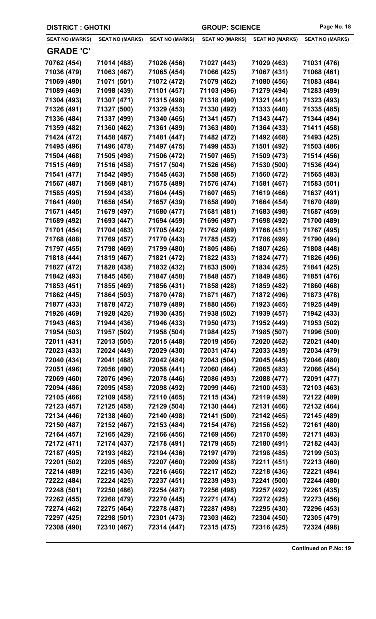| <b>DISTRICT: GHOTKI</b> |                        |                        | <b>GROUP: SCIENCE</b>  |                        | Page No. 18            |
|-------------------------|------------------------|------------------------|------------------------|------------------------|------------------------|
| <b>SEAT NO (MARKS)</b>  | <b>SEAT NO (MARKS)</b> | <b>SEAT NO (MARKS)</b> | <b>SEAT NO (MARKS)</b> | <b>SEAT NO (MARKS)</b> | <b>SEAT NO (MARKS)</b> |
| <u>GRADE 'C'</u>        |                        |                        |                        |                        |                        |
| 70762 (454)             | 71014 (488)            | 71026 (456)            | 71027 (443)            | 71029 (463)            | 71031 (476)            |
| 71036 (479)             | 71063 (467)            | 71065 (454)            | 71066 (425)            | 71067 (431)            | 71068 (461)            |
| 71069 (490)             | 71071 (501)            | 71072 (472)            | 71079 (462)            | 71080 (456)            | 71083 (484)            |
| 71089 (469)             | 71098 (439)            | 71101 (457)            | 71103 (496)            | 71279 (494)            | 71283 (499)            |
| 71304 (493)             | 71307 (471)            | 71315 (498)            | 71318 (490)            | 71321 (441)            | 71323 (493)            |
| 71326 (491)             | 71327 (500)            | 71329 (453)            | 71330 (492)            | 71333 (440)            | 71335 (485)            |
| 71336 (484)             | 71337 (499)            | 71340 (465)            | 71341 (457)            | 71343 (447)            | 71344 (494)            |
| 71359 (482)             | 71360 (462)            | 71361 (489)            | 71363 (480)            | 71364 (433)            | 71411 (458)            |
| 71424 (472)             | 71458 (487)            | 71481 (447)            | 71482 (472)            | 71492 (468)            | 71493 (425)            |
| 71495 (496)             | 71496 (478)            | 71497 (475)            | 71499 (453)            | 71501 (492)            | 71503 (486)            |
| 71504 (468)             | 71505 (498)            | 71506 (472)            | 71507 (465)            | 71509 (473)            | 71514 (456)            |
| 71515 (469)             | 71516 (458)            | 71517 (504)            | 71526 (456)            | 71530 (500)            | 71536 (494)            |
| 71541 (477)             | 71542 (495)            | 71545 (463)            | 71558 (465)            | 71560 (472)            | 71565 (483)            |
| 71567 (487)             | 71569 (481)            | 71575 (489)            | 71576 (474)            | 71581 (467)            | 71583 (501)            |
| 71585 (495)             | 71594 (438)            | 71604 (445)            | 71607 (465)            | 71619 (466)            | 71637 (491)            |
| 71641 (490)             | 71656 (454)            | 71657 (439)            | 71658 (490)            | 71664 (454)            | 71670 (489)            |
| 71671 (445)             | 71679 (497)            | 71680 (477)            | 71681 (481)            | 71683 (498)            | 71687 (459)            |
| 71689 (492)             | 71693 (447)            | 71694 (459)            | 71696 (497)            | 71698 (492)            | 71700 (489)            |
| 71701 (454)             | 71704 (483)            | 71705 (442)            | 71762 (489)            | 71766 (451)            | 71767 (495)            |
| 71768 (488)             | 71769 (457)            | 71770 (443)            | 71785 (452)            | 71786 (499)            | 71790 (494)            |
| 71797 (455)             | 71798 (469)            | 71799 (480)            | 71805 (486)            | 71807 (426)            | 71808 (448)            |
| 71818 (444)             | 71819 (467)            | 71821 (472)            | 71822 (433)            | 71824 (477)            | 71826 (496)            |
| 71827 (472)             | 71828 (438)            | 71832 (432)            | 71833 (500)            | 71834 (425)            | 71841 (425)            |
| 71842 (493)             | 71845 (456)            | 71847 (458)            | 71848 (457)            | 71849 (486)            | 71851 (476)            |
| 71853 (451)             | 71855 (469)            | 71856 (431)            | 71858 (428)            | 71859 (482)            | 71860 (468)            |
| 71862 (445)             | 71864 (503)            | 71870 (478)            | 71871 (467)            | 71872 (496)            | 71873 (478)            |
| 71877 (433)             | 71878 (472)            | 71879 (489)            | 71880 (456)            | 71923 (465)            | 71925 (449)            |
| 71926 (469)             | 71928 (426)            | 71930 (435)            | 71938 (502)            | 71939 (457)            | 71942 (433)            |
| 71943 (463)             | 71944 (436)            | 71946 (433)            | 71950 (473)            | 71952 (449)            | 71953 (502)            |
| 71954 (503)             | 71957 (502)            | 71958 (504)            | 71984 (425)            | 71985 (507)            | 71996 (500)            |
| 72011 (431)             | 72013 (505)            | 72015 (448)            | 72019 (456)            | 72020 (462)            | 72021 (440)            |
| 72023 (433)             | 72024 (449)            | 72029 (430)            | 72031 (474)            | 72033 (439)            | 72034 (479)            |
| 72040 (434)             | 72041 (488)            | 72042 (484)            | 72043 (504)            | 72045 (445)            | 72046 (480)            |
| 72051 (496)             | 72056 (490)            | 72058 (441)            | 72060 (464)            | 72065 (483)            | 72066 (454)            |
| 72069 (460)             | 72076 (496)            | 72078 (446)            | 72086 (493)            | 72088 (477)            | 72091 (477)            |
| 72094 (486)             | 72095 (458)            | 72098 (492)            | 72099 (446)            | 72100 (453)            | 72103 (463)            |
| 72105 (466)             | 72109 (458)            | 72110 (465)            | 72115 (434)            | 72119 (459)            | 72122 (489)            |
| 72123 (457)             | 72125 (458)            | 72129 (504)            | 72130 (444)            | 72131 (466)            | 72132 (464)            |
| 72134 (446)             | 72138 (460)            | 72140 (498)            | 72141 (500)            | 72142 (465)            | 72145 (489)            |
| 72150 (487)             | 72152 (467)            | 72153 (484)            | 72154 (476)            | 72156 (452)            | 72161 (480)            |
| 72164 (457)             | 72165 (429)            | 72166 (456)            | 72169 (456)            | 72170 (459)            | 72171 (483)            |
| 72172 (471)             | 72174 (437)            | 72178 (491)            | 72179 (465)            | 72180 (491)            | 72182 (443)            |
| 72187 (495)             | 72193 (482)            | 72194 (436)            | 72197 (479)            | 72198 (485)            | 72199 (503)            |
| 72201 (502)             | 72205 (465)            | 72207 (460)            | 72209 (438)            | 72211 (451)            | 72213 (460)            |
| 72214 (489)             | 72215 (436)            | 72216 (466)            | 72217 (452)            | 72218 (436)            | 72221 (494)            |
| 72222 (484)             | 72224 (425)            | 72237 (451)            | 72239 (493)            | 72241 (500)            | 72244 (480)            |
| 72248 (501)             | 72250 (486)            | 72254 (487)            | 72256 (498)            | 72257 (492)            | 72261 (435)            |
| 72262 (455)             | 72268 (479)            | 72270 (445)            | 72271 (474)            | 72272 (425)            | 72273 (456)            |
| 72274 (462)             | 72275 (464)            | 72278 (487)            | 72287 (498)            | 72295 (430)            | 72296 (453)            |
| 72297 (425)             | 72298 (501)            | 72301 (473)            | 72303 (462)            | 72304 (450)            | 72305 (479)            |
| 72308 (490)             | 72310 (467)            | 72314 (447)            | 72315 (475)            | 72316 (425)            | 72324 (498)            |
|                         |                        |                        |                        |                        |                        |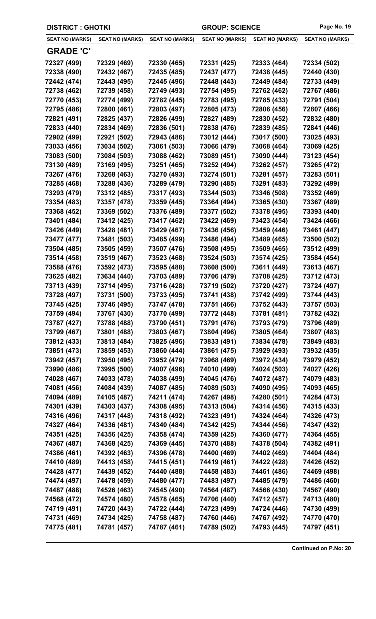| <b>DISTRICT: GHOTKI</b> |                        | <b>GROUP: SCIENCE</b>  |                        | Page No. 19            |                        |
|-------------------------|------------------------|------------------------|------------------------|------------------------|------------------------|
| <b>SEAT NO (MARKS)</b>  | <b>SEAT NO (MARKS)</b> | <b>SEAT NO (MARKS)</b> | <b>SEAT NO (MARKS)</b> | <b>SEAT NO (MARKS)</b> | <b>SEAT NO (MARKS)</b> |
| <u>GRADE 'C'</u>        |                        |                        |                        |                        |                        |
| 72327 (499)             | 72329 (469)            | 72330 (465)            | 72331 (425)            | 72333 (464)            | 72334 (502)            |
| 72338 (490)             | 72432 (467)            | 72435 (485)            | 72437 (477)            | 72438 (445)            | 72440 (430)            |
| 72442 (474)             | 72443 (495)            | 72445 (496)            | 72448 (443)            | 72449 (484)            | 72733 (449)            |
| 72738 (462)             | 72739 (458)            | 72749 (493)            | 72754 (495)            | 72762 (462)            | 72767 (486)            |
| 72770 (453)             | 72774 (499)            | 72782 (445)            | 72783 (495)            | 72785 (433)            | 72791 (504)            |
| 72795 (486)             | 72800 (461)            | 72803 (497)            | 72805 (473)            | 72806 (456)            | 72807 (466)            |
| 72821 (491)             | 72825 (437)            | 72826 (499)            | 72827 (489)            | 72830 (452)            | 72832 (480)            |
| 72833 (440)             | 72834 (469)            | 72836 (501)            | 72838 (476)            | 72839 (485)            | 72841 (446)            |
| 72902 (499)             | 72921 (502)            | 72943 (486)            | 73012 (444)            | 73017 (500)            | 73025 (493)            |
| 73033 (456)             | 73034 (502)            | 73061 (503)            | 73066 (479)            | 73068 (464)            | 73069 (425)            |
| 73083 (500)             | 73084 (503)            | 73088 (462)            | 73089 (451)            | 73090 (444)            | 73123 (454)            |
| 73130 (489)             | 73169 (495)            | 73251 (465)            | 73252 (494)            | 73262 (457)            | 73265 (472)            |
| 73267 (476)             | 73268 (463)            | 73270 (493)            | 73274 (501)            | 73281 (457)            | 73283 (501)            |
| 73285 (468)             | 73288 (436)            | 73289 (479)            | 73290 (485)            | 73291 (483)            | 73292 (499)            |
| 73293 (479)             | 73312 (485)            | 73317 (493)            | 73344 (503)            | 73346 (508)            | 73352 (469)            |
| 73354 (483)             | 73357 (478)            | 73359 (445)            | 73364 (494)            | 73365 (430)            | 73367 (489)            |
| 73368 (452)             | 73369 (502)            | 73376 (489)            | 73377 (502)            | 73378 (495)            | 73393 (440)            |
| 73401 (484)             | 73412 (425)            | 73417 (462)            | 73422 (469)            | 73423 (454)            | 73424 (466)            |
| 73426 (449)             | 73428 (481)            | 73429 (467)            | 73436 (456)            | 73459 (446)            | 73461 (447)            |
| 73477 (477)             | 73481 (503)            | 73485 (499)            | 73486 (494)            | 73489 (465)            | 73500 (502)            |
| 73504 (485)             | 73505 (459)            | 73507 (476)            | 73508 (495)            | 73509 (465)            | 73512 (499)            |
| 73514 (458)             | 73519 (467)            | 73523 (468)            | 73524 (503)            | 73574 (425)            | 73584 (454)            |
| 73588 (476)             | 73592 (473)            | 73595 (488)            | 73608 (500)            | 73611 (449)            | 73613 (467)            |
| 73625 (482)             | 73634 (440)            | 73703 (489)            | 73706 (479)            | 73708 (425)            | 73712 (473)            |
| 73713 (439)             | 73714 (495)            | 73716 (428)            | 73719 (502)            | 73720 (427)            | 73724 (497)            |
| 73728 (497)             | 73731 (500)            | 73733 (495)            | 73741 (438)            | 73742 (499)            | 73744 (443)            |
| 73745 (425)             | 73746 (495)            | 73747 (478)            | 73751 (466)            | 73752 (443)            | 73757 (503)            |
| 73759 (494)             | 73767 (430)            | 73770 (499)            | 73772 (448)            | 73781 (481)            | 73782 (432)            |
| 73787 (427)             | 73788 (488)            | 73790 (451)            | 73791 (476)            | 73793 (479)            | 73796 (489)            |
| 73799 (467)             | 73801 (488)            | 73803 (467)            | 73804 (496)            | 73805 (464)            | 73807 (483)            |
| 73812 (433)             | 73813 (484)            | 73825 (496)            | 73833 (491)            | 73834 (478)            | 73849 (483)            |
| 73851 (473)             | 73859 (453)            | 73860 (444)            | 73861 (475)            | 73929 (493)            | 73932 (435)            |
| 73942 (457)             | 73950 (495)            | 73952 (479)            | 73968 (469)            | 73972 (434)            | 73979 (452)            |
| 73990 (486)             | 73995 (500)            | 74007 (496)            | 74010 (499)            | 74024 (503)            | 74027 (426)            |
| 74028 (467)             | 74033 (478)            | 74038 (499)            | 74045 (476)            | 74072 (487)            | 74079 (483)            |
| 74081 (456)             | 74084 (439)            | 74087 (485)            | 74089 (503)            | 74090 (495)            | 74093 (465)            |
| 74094 (489)             | 74105 (487)            | 74211 (474)            | 74267 (498)            | 74280 (501)            | 74284 (473)            |
| 74301 (439)             | 74303 (437)            | 74308 (495)            | 74313 (504)            | 74314 (456)            | 74315 (433)            |
| 74316 (496)             | 74317 (448)            | 74318 (492)            | 74323 (491)            | 74324 (464)            | 74326 (473)            |
| 74327 (464)             | 74336 (481)            | 74340 (484)            | 74342 (425)            | 74344 (456)            | 74347 (432)            |
| 74351 (425)             | 74356 (425)            | 74358 (474)            | 74359 (425)            | 74360 (477)            | 74364 (455)            |
| 74367 (487)             | 74368 (425)            | 74369 (445)            | 74370 (488)            | 74378 (504)            | 74382 (491)            |
| 74386 (461)             | 74392 (463)            | 74396 (478)            | 74400 (469)            | 74402 (469)            | 74404 (484)            |
| 74410 (489)             | 74413 (458)            | 74415 (451)            | 74419 (461)            | 74422 (428)            | 74426 (452)            |
| 74428 (477)             | 74439 (452)            | 74440 (488)            | 74458 (483)            | 74461 (486)            | 74469 (498)            |
| 74474 (497)             | 74478 (459)            | 74480 (477)            | 74483 (497)            | 74485 (479)            | 74486 (460)            |
| 74487 (488)             | 74526 (463)            | 74545 (490)            | 74564 (487)            | 74566 (430)            | 74567 (490)            |
| 74568 (472)             | 74574 (480)            | 74578 (465)            | 74706 (440)            | 74712 (457)            | 74713 (480)            |
| 74719 (491)             | 74720 (443)            | 74722 (444)            | 74723 (499)            | 74724 (446)            | 74730 (499)            |
| 74731 (469)             | 74734 (425)            | 74758 (487)            | 74760 (446)            | 74767 (492)            | 74770 (470)            |
| 74775 (481)             | 74781 (457)            | 74787 (461)            | 74789 (502)            | 74793 (445)            | 74797 (451)            |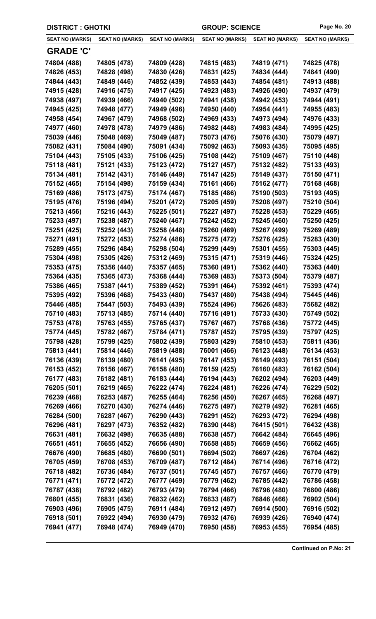| <b>DISTRICT : GHOTKI</b> |                        |                        | <b>GROUP: SCIENCE</b>  |                        | Page No. 20            |
|--------------------------|------------------------|------------------------|------------------------|------------------------|------------------------|
| <b>SEAT NO (MARKS)</b>   | <b>SEAT NO (MARKS)</b> | <b>SEAT NO (MARKS)</b> | <b>SEAT NO (MARKS)</b> | <b>SEAT NO (MARKS)</b> | <b>SEAT NO (MARKS)</b> |
| <b>GRADE 'C'</b>         |                        |                        |                        |                        |                        |
| 74804 (488)              | 74805 (478)            | 74809 (428)            | 74815 (483)            | 74819 (471)            | 74825 (478)            |
| 74826 (453)              | 74828 (498)            | 74830 (426)            | 74831 (425)            | 74834 (444)            | 74841 (490)            |
| 74844 (443)              | 74849 (446)            | 74852 (439)            | 74853 (443)            | 74854 (481)            | 74913 (488)            |
| 74915 (428)              | 74916 (475)            | 74917 (425)            | 74923 (483)            | 74926 (490)            | 74937 (479)            |
| 74938 (497)              | 74939 (466)            | 74940 (502)            | 74941 (438)            | 74942 (453)            | 74944 (491)            |
| 74945 (425)              | 74948 (477)            | 74949 (496)            | 74950 (440)            | 74954 (441)            | 74955 (483)            |
| 74958 (454)              | 74967 (479)            | 74968 (502)            | 74969 (433)            | 74973 (494)            | 74976 (433)            |
| 74977 (460)              | 74978 (478)            | 74979 (486)            | 74982 (448)            | 74983 (484)            | 74995 (425)            |
| 75039 (446)              | 75048 (469)            | 75049 (487)            | 75073 (476)            | 75076 (430)            | 75079 (497)            |
| 75082 (431)              | 75084 (490)            | 75091 (434)            | 75092 (463)            | 75093 (435)            | 75095 (495)            |
| 75104 (443)              | 75105 (433)            | 75106 (425)            | 75108 (442)            | 75109 (467)            | 75110 (448)            |
| 75118 (481)              | 75121 (433)            | 75123 (472)            | 75127 (457)            | 75132 (482)            | 75133 (493)            |
| 75134 (481)              | 75142 (431)            | 75146 (449)            | 75147 (425)            | 75149 (437)            | 75150 (471)            |
| 75152 (465)              | 75154 (498)            | 75159 (434)            | 75161 (466)            | 75162 (477)            | 75168 (468)            |
| 75169 (486)              | 75173 (475)            | 75174 (467)            | 75185 (486)            | 75190 (503)            | 75193 (495)            |
| 75195 (476)              | 75196 (494)            | 75201 (472)            | 75205 (459)            | 75208 (497)            | 75210 (504)            |
| 75213 (456)              | 75216 (443)            | 75225 (501)            | 75227 (497)            | 75228 (453)            | 75229 (465)            |
| 75233 (497)              | 75238 (487)            | 75240 (467)            | 75242 (452)            | 75245 (460)            | 75250 (425)            |
| 75251 (425)              | 75252 (443)            | 75258 (448)            | 75260 (469)            | 75267 (499)            | 75269 (489)            |
| 75271 (491)              | 75272 (453)            | 75274 (486)            | 75275 (472)            | 75276 (425)            | 75283 (430)            |
| 75289 (455)              | 75296 (484)            | 75298 (504)            | 75299 (449)            | 75301 (455)            | 75303 (445)            |
| 75304 (498)              | 75305 (426)            | 75312 (469)            | 75315 (471)            | 75319 (446)            | 75324 (425)            |
| 75353 (475)              | 75356 (440)            | 75357 (465)            | 75360 (491)            | 75362 (440)            | 75363 (440)            |
| 75364 (435)              | 75365 (473)            | 75368 (444)            | 75369 (483)            | 75373 (504)            | 75379 (487)            |
| 75386 (465)              | 75387 (441)            | 75389 (452)            | 75391 (464)            | 75392 (461)            | 75393 (474)            |
| 75395 (492)              | 75396 (468)            | 75433 (480)            | 75437 (480)            | 75438 (494)            | 75445 (446)            |
| 75446 (485)              | 75447 (503)            | 75493 (439)            | 75524 (496)            | 75626 (483)            | 75682 (482)            |
| 75710 (483)              | 75713 (485)            | 75714 (440)            | 75716 (491)            | 75733 (430)            | 75749 (502)            |
| 75753 (478)              | 75763 (455)            | 75765 (437)            | 75767 (467)            | 75768 (436)            | 75772 (445)            |
| 75774 (445)              | 75782 (467)            | 75784 (471)            | 75787 (452)            | 75795 (439)            | 75797 (425)            |
| 75798 (428)              | 75799 (425)            | 75802 (439)            | 75803 (429)            | 75810 (453)            | 75811 (436)            |
| 75813 (441)              | 75814 (446)            | 75819 (488)            | 76001 (466)            | 76123 (448)            | 76134 (453)            |
| 76136 (439)              | 76139 (480)            | 76141 (495)            | 76147 (453)            | 76149 (493)            | 76151 (504)            |
| 76153 (452)              | 76156 (467)            | 76158 (480)            | 76159 (425)            | 76160 (483)            | 76162 (504)            |
| 76177 (483)              | 76182 (481)            | 76183 (444)            | 76194 (443)            | 76202 (494)            | 76203 (449)            |
| 76205 (501)              | 76219 (465)            | 76222 (474)            | 76224 (481)            | 76226 (474)            | 76229 (502)            |
| 76239 (468)              | 76253 (487)            | 76255 (464)            | 76256 (450)            | 76267 (465)            | 76268 (497)            |
| 76269 (466)              | 76270 (430)            | 76274 (446)            | 76275 (497)            | 76279 (492)            | 76281 (465)            |
| 76284 (500)              | 76287 (467)            | 76290 (443)            | 76291 (452)            | 76293 (472)            | 76294 (498)            |
| 76296 (481)              | 76297 (473)            | 76352 (482)            | 76390 (448)            | 76415 (501)            | 76432 (438)            |
| 76631 (481)              | 76632 (498)            | 76635 (488)            | 76638 (457)            | 76642 (484)            | 76645 (496)            |
| 76651 (451)              | 76655 (452)            | 76656 (490)            | 76658 (485)            | 76659 (456)            | 76662 (465)            |
| 76676 (490)              | 76685 (480)            | 76690 (501)            | 76694 (502)            | 76697 (426)            | 76704 (462)            |
| 76705 (459)              | 76708 (453)            | 76709 (487)            | 76712 (484)            | 76714 (496)            | 76716 (472)            |
| 76718 (482)              | 76736 (484)            | 76737 (501)            | 76745 (457)            | 76757 (466)            | 76770 (479)            |
| 76771 (471)              | 76772 (472)            | 76777 (469)            | 76779 (462)            | 76785 (442)            | 76786 (458)            |
| 76787 (438)              | 76792 (482)            | 76793 (479)            | 76794 (466)            | 76796 (480)            | 76800 (486)            |
| 76801 (455)              | 76831 (436)            | 76832 (462)            | 76833 (487)            | 76846 (466)            | 76902 (504)            |
| 76903 (496)              | 76905 (475)            | 76911 (484)            | 76912 (497)            | 76914 (500)            | 76916 (502)            |
| 76918 (501)              | 76922 (494)            | 76930 (479)            | 76932 (476)            | 76939 (426)            | 76940 (474)            |
| 76941 (477)              | 76948 (474)            | 76949 (470)            | 76950 (458)            | 76953 (455)            | 76954 (485)            |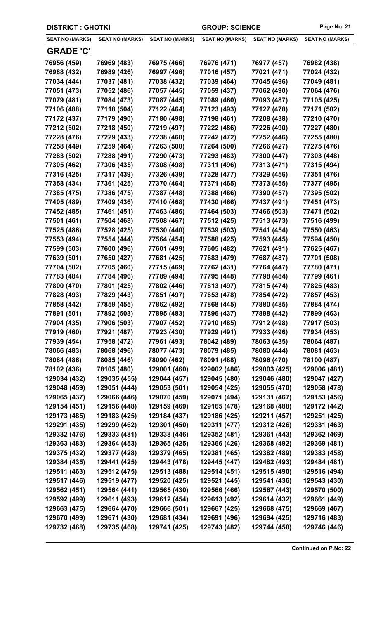|                        | <b>DISTRICT: GHOTKI</b><br><b>GROUP: SCIENCE</b> |                        | Page No. 21            |                        |                        |
|------------------------|--------------------------------------------------|------------------------|------------------------|------------------------|------------------------|
| <b>SEAT NO (MARKS)</b> | <b>SEAT NO (MARKS)</b>                           | <b>SEAT NO (MARKS)</b> | <b>SEAT NO (MARKS)</b> | <b>SEAT NO (MARKS)</b> | <b>SEAT NO (MARKS)</b> |
| <u>GRADE 'C'</u>       |                                                  |                        |                        |                        |                        |
| 76956 (459)            | 76969 (483)                                      | 76975 (466)            | 76976 (471)            | 76977 (457)            | 76982 (438)            |
| 76988 (432)            | 76989 (426)                                      | 76997 (496)            | 77016 (457)            | 77021 (471)            | 77024 (432)            |
| 77034 (444)            | 77037 (481)                                      | 77038 (432)            | 77039 (464)            | 77045 (496)            | 77049 (481)            |
| 77051 (473)            | 77052 (486)                                      | 77057 (445)            | 77059 (437)            | 77062 (490)            | 77064 (476)            |
| 77079 (481)            | 77084 (473)                                      | 77087 (445)            | 77089 (460)            | 77093 (487)            | 77105 (425)            |
| 77106 (488)            | 77118 (504)                                      | 77122 (464)            | 77123 (493)            | 77127 (478)            | 77171 (502)            |
| 77172 (437)            | 77179 (490)                                      | 77180 (498)            | 77198 (461)            | 77208 (438)            | 77210 (470)            |
| 77212 (502)            | 77218 (450)                                      | 77219 (497)            | 77222 (486)            | 77226 (490)            | 77227 (480)            |
| 77228 (476)            | 77229 (433)                                      | 77238 (460)            | 77242 (472)            | 77252 (446)            | 77255 (480)            |
| 77258 (449)            | 77259 (464)                                      | 77263 (500)            | 77264 (500)            | 77266 (427)            | 77275 (476)            |
| 77283 (502)            | 77288 (491)                                      | 77290 (473)            | 77293 (483)            | 77300 (447)            | 77303 (448)            |
| 77305 (462)            | 77306 (435)                                      | 77308 (498)            | 77311 (496)            | 77313 (471)            | 77315 (494)            |
| 77316 (425)            | 77317 (439)                                      | 77326 (439)            | 77328 (477)            | 77329 (456)            | 77351 (476)            |
| 77358 (434)            | 77361 (425)                                      | 77370 (464)            | 77371 (465)            | 77373 (455)            | 77377 (495)            |
| 77385 (475)            | 77386 (475)                                      | 77387 (448)            | 77388 (486)            | 77390 (457)            | 77395 (502)            |
| 77405 (489)            | 77409 (436)                                      | 77410 (468)            | 77430 (466)            | 77437 (491)            | 77451 (473)            |
| 77452 (485)            | 77461 (451)                                      | 77463 (486)            | 77464 (503)            | 77466 (503)            | 77471 (502)            |
| 77501 (461)            | 77504 (468)                                      | 77508 (467)            | 77512 (425)            | 77513 (473)            | 77516 (499)            |
| 77525 (486)            | 77528 (425)                                      | 77530 (440)            | 77539 (503)            | 77541 (454)            | 77550 (463)            |
| 77553 (494)            | 77554 (444)                                      | 77564 (454)            | 77588 (425)            | 77593 (445)            | 77594 (450)            |
| 77599 (503)            | 77600 (496)                                      | 77601 (499)            | 77605 (482)            | 77621 (491)            | 77625 (467)            |
| 77639 (501)            | 77650 (427)                                      | 77681 (425)            | 77683 (479)            | 77687 (487)            | 77701 (508)            |
| 77704 (502)            | 77705 (460)                                      | 77715 (469)            | 77762 (431)            | 77764 (447)            | 77780 (471)            |
| 77783 (484)            | 77784 (496)                                      | 77789 (494)            | 77795 (448)            | 77798 (484)            | 77799 (461)            |
| 77800 (470)            | 77801 (425)                                      | 77802 (446)            | 77813 (497)            | 77815 (474)            | 77825 (483)            |
| 77828 (493)            | 77829 (443)                                      | 77851 (497)            | 77853 (478)            | 77854 (472)            | 77857 (453)            |
| 77858 (442)            | 77859 (455)                                      | 77862 (492)            | 77868 (445)            | 77880 (485)            | 77884 (474)            |
| 77891 (501)            | 77892 (503)                                      | 77895 (483)            | 77896 (437)            | 77898 (442)            | 77899 (463)            |
| 77904 (435)            | 77906 (503)                                      | 77907 (452)            | 77910 (485)            | 77912 (498)            | 77917 (503)            |
| 77919 (460)            | 77921 (487)                                      | 77923 (430)            | 77929 (491)            | 77933 (496)            | 77934 (453)            |
| 77939 (454)            | 77958 (472)                                      | 77961 (493)            | 78042 (489)            | 78063 (435)            | 78064 (487)            |
| 78066 (483)            | 78068 (496)                                      | 78077 (473)            | 78079 (485)            | 78080 (444)            | 78081 (463)            |
| 78084 (486)            | 78085 (446)                                      | 78090 (462)            | 78091 (488)            | 78096 (470)            | 78100 (487)            |
| 78102 (436)            | 78105 (480)                                      | 129001 (460)           | 129002 (486)           | 129003 (425)           | 129006 (481)           |
| 129034 (432)           | 129035 (455)                                     | 129044 (457)           | 129045 (480)           | 129046 (480)           | 129047 (427)           |
| 129048 (459)           | 129051 (444)                                     | 129053 (501)           | 129054 (425)           | 129055 (470)           | 129058 (478)           |
| 129065 (437)           | 129066 (446)                                     | 129070 (459)           | 129071 (494)           | 129131 (467)           | 129153 (456)           |
| 129154 (451)           | 129156 (448)                                     | 129159 (469)           | 129165 (478)           | 129168 (488)           | 129172 (442)           |
| 129173 (485)           | 129183 (425)                                     | 129184 (437)           | 129186 (425)           | 129211 (457)           | 129251 (425)           |
| 129291 (435)           | 129299 (462)                                     | 129301 (450)           | 129311 (477)           | 129312 (426)           | 129331 (463)           |
| 129332 (476)           | 129333 (481)                                     | 129338 (446)           | 129352 (481)           | 129361 (443)           | 129362 (469)           |
| 129363 (483)           | 129364 (453)                                     | 129365 (425)           | 129366 (426)           | 129368 (492)           | 129369 (481)           |
| 129375 (432)           | 129377 (428)                                     | 129379 (465)           | 129381 (465)           | 129382 (489)           | 129383 (458)           |
| 129384 (435)           | 129441 (425)                                     | 129443 (478)           | 129445 (447)           | 129482 (493)           | 129484 (481)           |
| 129511 (463)           | 129512 (475)                                     | 129513 (488)           | 129514 (451)           | 129515 (490)           | 129516 (494)           |
| 129517 (446)           | 129519 (477)                                     | 129520 (425)           | 129521 (445)           | 129541 (436)           | 129543 (430)           |
| 129562 (451)           | 129564 (441)                                     | 129565 (430)           | 129566 (466)           | 129567 (443)           | 129570 (500)           |
| 129592 (499)           | 129611 (493)                                     | 129612 (454)           | 129613 (492)           | 129614 (432)           | 129661 (449)           |
| 129663 (475)           | 129664 (470)                                     | 129666 (501)           | 129667 (425)           | 129668 (475)           | 129669 (467)           |
| 129670 (499)           | 129671 (430)                                     | 129681 (434)           | 129691 (496)           | 129694 (425)           | 129716 (483)           |
| 129732 (468)           | 129735 (468)                                     | 129741 (425)           | 129743 (482)           | 129744 (450)           | 129746 (446)           |
|                        |                                                  |                        |                        |                        |                        |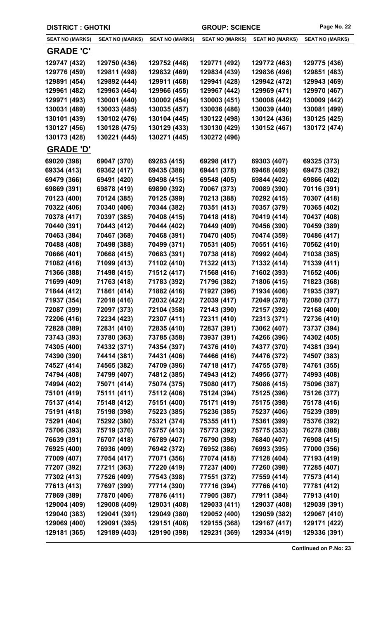| <b>DISTRICT: GHOTKI</b> |                        |                        | <b>GROUP: SCIENCE</b>  |                        | Page No. 22            |
|-------------------------|------------------------|------------------------|------------------------|------------------------|------------------------|
| <b>SEAT NO (MARKS)</b>  | <b>SEAT NO (MARKS)</b> | <b>SEAT NO (MARKS)</b> | <b>SEAT NO (MARKS)</b> | <b>SEAT NO (MARKS)</b> | <b>SEAT NO (MARKS)</b> |
| <u>GRADE 'C'</u>        |                        |                        |                        |                        |                        |
| 129747 (432)            | 129750 (436)           | 129752 (448)           | 129771 (492)           | 129772 (463)           | 129775 (436)           |
| 129776 (459)            | 129811 (498)           | 129832 (469)           | 129834 (439)           | 129836 (496)           | 129851 (483)           |
| 129891 (454)            | 129892 (444)           | 129911 (468)           | 129941 (428)           | 129942 (472)           | 129943 (469)           |
| 129961 (482)            | 129963 (464)           | 129966 (455)           | 129967 (442)           | 129969 (471)           | 129970 (467)           |
| 129971 (493)            | 130001 (440)           | 130002 (454)           | 130003 (451)           | 130008 (442)           | 130009 (442)           |
| 130031 (489)            | 130033 (485)           | 130035 (457)           | 130036 (486)           | 130039 (440)           | 130081 (499)           |
| 130101 (439)            | 130102 (476)           | 130104 (445)           | 130122 (498)           | 130124 (436)           | 130125 (425)           |
| 130127 (456)            | 130128 (475)           | 130129 (433)           | 130130 (429)           | 130152 (467)           | 130172 (474)           |
| 130173 (428)            | 130221 (445)           | 130271 (445)           | 130272 (496)           |                        |                        |
| <b>GRADE 'D'</b>        |                        |                        |                        |                        |                        |
| 69020 (398)             | 69047 (370)            | 69283 (415)            | 69298 (417)            | 69303 (407)            | 69325 (373)            |
| 69334 (413)             | 69362 (417)            | 69435 (388)            | 69441 (378)            | 69468 (409)            | 69475 (392)            |
| 69479 (366)             | 69491 (420)            | 69498 (415)            | 69548 (405)            | 69844 (402)            | 69866 (402)            |
| 69869 (391)             | 69878 (419)            | 69890 (392)            | 70067 (373)            | 70089 (390)            | 70116 (391)            |
| 70123 (400)             | 70124 (385)            | 70125 (399)            | 70213 (388)            | 70292 (415)            | 70307 (418)            |
| 70322 (406)             | 70340 (406)            | 70344 (382)            | 70351 (413)            | 70357 (379)            | 70365 (402)            |
| 70378 (417)             | 70397 (385)            | 70408 (415)            | 70418 (418)            | 70419 (414)            | 70437 (408)            |
| 70440 (391)             | 70443 (412)            | 70444 (402)            | 70449 (409)            | 70456 (390)            | 70459 (389)            |
| 70463 (384)             | 70467 (368)            | 70468 (391)            | 70470 (405)            | 70474 (359)            | 70486 (417)            |
| 70488 (408)             | 70498 (388)            | 70499 (371)            | 70531 (405)            | 70551 (416)            | 70562 (410)            |
| 70666 (401)             | 70668 (415)            | 70683 (391)            | 70738 (418)            | 70992 (404)            | 71038 (385)            |
| 71082 (416)             | 71099 (413)            | 71102 (410)            | 71322 (413)            | 71332 (414)            | 71339 (411)            |
| 71366 (388)             | 71498 (415)            | 71512 (417)            | 71568 (416)            | 71602 (393)            | 71652 (406)            |
| 71699 (409)             | 71763 (418)            | 71783 (392)            | 71796 (382)            | 71806 (415)            | 71823 (368)            |
| 71844 (412)             | 71861 (414)            | 71882 (416)            | 71927 (396)            | 71934 (406)            | 71935 (397)            |
| 71937 (354)             | 72018 (416)            | 72032 (422)            | 72039 (417)            | 72049 (378)            | 72080 (377)            |
| 72087 (399)             | 72097 (373)            | 72104 (358)            | 72143 (390)            | 72157 (392)            | 72168 (400)            |
| 72206 (416)             | 72234 (423)            | 72307 (411)            | 72311 (410)            | 72313 (371)            | 72736 (410)            |
| 72828 (389)             | 72831 (410)            | 72835 (410)            | 72837 (391)            | 73062 (407)            | 73737 (394)            |
| 73743 (393)             | 73780 (363)            | 73785 (358)            | 73937 (391)            | 74266 (396)            | 74302 (405)            |
| 74305 (400)             | 74332 (371)            | 74354 (397)            | 74376 (410)            | 74377 (370)            | 74381 (394)            |
| 74390 (390)             | 74414 (381)            | 74431 (406)            | 74466 (416)            | 74476 (372)            | 74507 (383)            |
| 74527 (414)             | 74565 (382)            | 74709 (396)            | 74718 (417)            | 74755 (378)            | 74761 (355)            |
| 74794 (408)             | 74799 (407)            | 74812 (385)            | 74943 (412)            | 74956 (377)            | 74993 (408)            |
| 74994 (402)             | 75071 (414)            | 75074 (375)            | 75080 (417)            | 75086 (415)            | 75096 (387)            |
| 75101 (419)             | 75111 (411)            | 75112 (406)            | 75124 (394)            | 75125 (396)            | 75126 (377)            |
| 75137 (414)             | 75148 (412)            | 75151 (400)            | 75171 (419)            | 75175 (398)            | 75178 (416)            |
| 75191 (418)             | 75198 (398)            | 75223 (385)            | 75236 (385)            | 75237 (406)            | 75239 (389)            |
| 75291 (404)             | 75292 (380)            | 75321 (374)            | 75355 (411)            | 75361 (399)            | 75376 (392)            |
| 75706 (393)             | 75719 (376)            | 75757 (413)            | 75773 (392)            | 75775 (353)            | 76278 (388)            |
| 76639 (391)             | 76707 (418)            | 76789 (407)            | 76790 (398)            | 76840 (407)            | 76908 (415)            |
| 76925 (400)             | 76936 (409)            | 76942 (372)            | 76952 (386)            | 76993 (395)            | 77000 (356)            |
| 77009 (407)             | 77054 (417)            | 77071 (356)            | 77074 (418)            | 77128 (404)            | 77193 (419)            |
| 77207 (392)             | 77211 (363)            | 77220 (419)            | 77237 (400)            | 77260 (398)            | 77285 (407)            |
| 77302 (413)             | 77526 (409)            | 77543 (398)            | 77551 (372)            | 77559 (414)            | 77573 (414)            |
| 77613 (413)             | 77697 (399)            | 77714 (390)            | 77716 (394)            | 77766 (410)            | 77781 (412)            |
| 77869 (389)             | 77870 (406)            | 77876 (411)            | 77905 (387)            | 77911 (384)            | 77913 (410)            |
| 129004 (409)            | 129008 (409)           | 129031 (408)           | 129033 (411)           | 129037 (408)           | 129039 (391)           |
| 129040 (383)            | 129041 (391)           | 129049 (380)           | 129052 (400)           | 129059 (382)           | 129067 (410)           |
| 129069 (400)            | 129091 (395)           | 129151 (408)           | 129155 (368)           | 129167 (417)           | 129171 (422)           |
| 129181 (365)            | 129189 (403)           | 129190 (398)           | 129231 (369)           | 129334 (419)           | 129336 (391)           |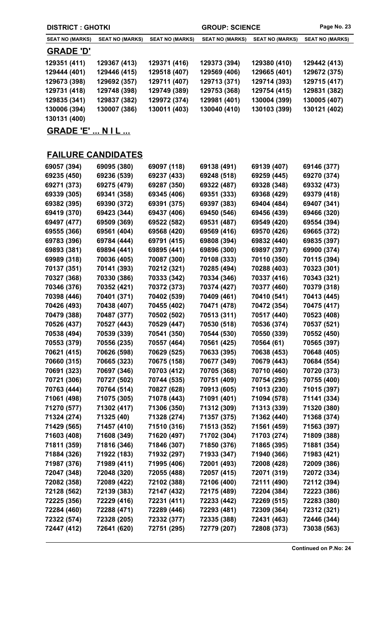| <b>DISTRICT: GHOTKI</b> |                        |                        | <b>GROUP: SCIENCE</b>  |                        | Page No. 23            |
|-------------------------|------------------------|------------------------|------------------------|------------------------|------------------------|
| <b>SEAT NO (MARKS)</b>  | <b>SEAT NO (MARKS)</b> | <b>SEAT NO (MARKS)</b> | <b>SEAT NO (MARKS)</b> | <b>SEAT NO (MARKS)</b> | <b>SEAT NO (MARKS)</b> |
| <b>GRADE 'D'</b>        |                        |                        |                        |                        |                        |
| 129351 (411)            | 129367 (413)           | 129371 (416)           | 129373 (394)           | 129380 (410)           | 129442 (413)           |
| 129444 (401)            | 129446 (415)           | 129518 (407)           | 129569 (406)           | 129665 (401)           | 129672 (375)           |
| 129673 (398)            | 129692 (357)           | 129711 (407)           | 129713 (371)           | 129714 (393)           | 129715 (417)           |
| 129731 (418)            | 129748 (398)           | 129749 (389)           | 129753 (368)           | 129754 (415)           | 129831 (382)           |
| 129835 (341)            | 129837 (382)           | 129972 (374)           | 129981 (401)           | 130004 (399)           | 130005 (407)           |
| 130006 (394)            | 130007 (386)           | 130011 (403)           | 130040 (410)           | 130103 (399)           | 130121 (402)           |
| 130131 (400)            |                        |                        |                        |                        |                        |
| <b>GRADE 'E'  NIL </b>  |                        |                        |                        |                        |                        |

## **FAILURE CANDIDATES**

| 69057 (394) | 69095 (380) | 69097 (118) | 69138 (491) | 69139 (407) | 69146 (377) |
|-------------|-------------|-------------|-------------|-------------|-------------|
| 69235 (450) | 69236 (539) | 69237 (433) | 69248 (518) | 69259 (445) | 69270 (374) |
| 69271 (373) | 69275 (479) | 69287 (350) | 69322 (487) | 69328 (348) | 69332 (473) |
| 69339 (305) | 69341 (358) | 69345 (406) | 69351 (333) | 69368 (429) | 69379 (418) |
| 69382 (395) | 69390 (372) | 69391 (375) | 69397 (383) | 69404 (484) | 69407 (341) |
| 69419 (370) | 69423 (344) | 69437 (406) | 69450 (546) | 69456 (439) | 69466 (320) |
| 69497 (477) | 69509 (369) | 69522 (582) | 69531 (487) | 69549 (420) | 69554 (394) |
| 69555 (366) | 69561 (404) | 69568 (420) | 69569 (416) | 69570 (426) | 69665 (372) |
| 69783 (396) | 69784 (444) | 69791 (415) | 69808 (394) | 69832 (440) | 69835 (397) |
| 69893 (381) | 69894 (441) | 69895 (441) | 69896 (300) | 69897 (397) | 69900 (374) |
| 69989 (318) | 70036 (405) | 70087 (300) | 70108 (333) | 70110 (350) | 70115 (394) |
| 70137 (351) | 70141 (393) | 70212 (321) | 70285 (494) | 70288 (403) | 70323 (301) |
| 70327 (368) | 70330 (386) | 70333 (342) | 70334 (346) | 70337 (416) | 70343 (321) |
| 70346 (376) | 70352 (421) | 70372 (373) | 70374 (427) | 70377 (460) | 70379 (318) |
| 70398 (446) | 70401 (371) | 70402 (539) | 70409 (461) | 70410 (541) | 70413 (445) |
| 70426 (493) | 70438 (407) | 70455 (402) | 70471 (478) | 70472 (354) | 70475 (417) |
| 70479 (388) | 70487 (377) | 70502 (502) | 70513 (311) | 70517 (440) | 70523 (408) |
| 70526 (437) | 70527 (443) | 70529 (447) | 70530 (518) | 70536 (374) | 70537 (521) |
| 70538 (494) | 70539 (339) | 70541 (350) | 70544 (530) | 70550 (339) | 70552 (450) |
| 70553 (379) | 70556 (235) | 70557 (464) | 70561 (425) | 70564 (61)  | 70565 (397) |
| 70621 (415) | 70626 (598) | 70629 (525) | 70633 (395) | 70638 (453) | 70648 (405) |
| 70660 (315) | 70665 (323) | 70675 (158) | 70677 (349) | 70679 (443) | 70684 (554) |
| 70691 (323) | 70697 (346) | 70703 (412) | 70705 (368) | 70710 (460) | 70720 (373) |
| 70721 (306) | 70727 (502) | 70744 (535) | 70751 (409) | 70754 (295) | 70755 (400) |
| 70763 (444) | 70764 (514) | 70827 (628) | 70913 (605) | 71013 (230) | 71015 (397) |
| 71061 (498) | 71075 (305) | 71078 (443) | 71091 (401) | 71094 (578) | 71141 (334) |
| 71270 (577) | 71302 (417) | 71306 (350) | 71312 (309) | 71313 (339) | 71320 (380) |
| 71324 (274) | 71325 (40)  | 71328 (274) | 71357 (375) | 71362 (440) | 71368 (374) |
| 71429 (565) | 71457 (410) | 71510 (316) | 71513 (352) | 71561 (459) | 71563 (397) |
| 71603 (408) | 71608 (349) | 71620 (497) | 71702 (304) | 71703 (274) | 71809 (388) |
| 71811 (359) | 71816 (346) | 71846 (307) | 71850 (376) | 71865 (395) | 71881 (354) |
| 71884 (326) | 71922 (183) | 71932 (297) | 71933 (347) | 71940 (366) | 71983 (421) |
| 71987 (376) | 71989 (411) | 71995 (406) | 72001 (493) | 72008 (428) | 72009 (386) |
| 72047 (348) | 72048 (320) | 72055 (488) | 72057 (415) | 72071 (319) | 72072 (334) |
| 72082 (358) | 72089 (422) | 72102 (388) | 72106 (400) | 72111 (490) | 72112 (394) |
| 72128 (562) | 72139 (383) | 72147 (432) | 72175 (489) | 72204 (384) | 72223 (386) |
| 72225 (356) | 72229 (416) | 72231 (411) | 72233 (442) | 72269 (515) | 72283 (380) |
| 72284 (460) | 72288 (471) | 72289 (446) | 72293 (481) | 72309 (364) | 72312 (321) |
| 72322 (574) | 72328 (205) | 72332 (377) | 72335 (388) | 72431 (463) | 72446 (344) |
| 72447 (412) | 72641 (620) | 72751 (295) | 72779 (207) | 72808 (373) | 73038 (563) |
|             |             |             |             |             |             |

**Continued on P.No: 24**

 $\overline{\phantom{a}}$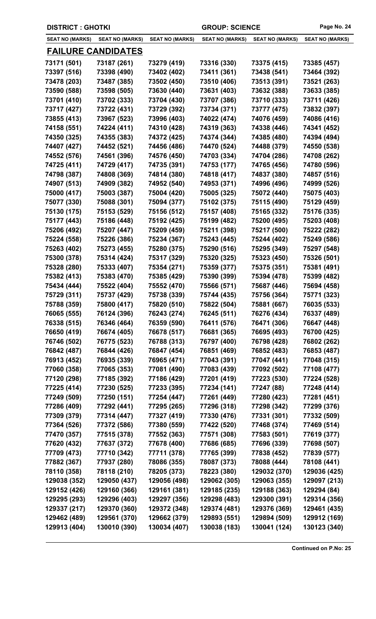| <b>DISTRICT : GHOTKI</b> |                           |                        | <b>GROUP: SCIENCE</b>  | Page No. 24            |                        |
|--------------------------|---------------------------|------------------------|------------------------|------------------------|------------------------|
| <b>SEAT NO (MARKS)</b>   | SEAT NO (MARKS)           | <b>SEAT NO (MARKS)</b> | <b>SEAT NO (MARKS)</b> | <b>SEAT NO (MARKS)</b> | <b>SEAT NO (MARKS)</b> |
|                          | <u>FAILURE CANDIDATES</u> |                        |                        |                        |                        |
| 73171 (501)              | 73187 (261)               | 73279 (419)            | 73316 (330)            | 73375 (415)            | 73385 (457)            |
| 73397 (516)              | 73398 (490)               | 73402 (402)            | 73411 (361)            | 73438 (541)            | 73464 (392)            |
| 73478 (203)              | 73487 (385)               | 73502 (450)            | 73510 (406)            | 73513 (391)            | 73521 (263)            |
| 73590 (588)              | 73598 (505)               | 73630 (440)            | 73631 (403)            | 73632 (388)            | 73633 (385)            |
| 73701 (410)              | 73702 (333)               | 73704 (430)            | 73707 (386)            | 73710 (333)            | 73711 (426)            |
| 73717 (427)              | 73722 (431)               | 73729 (392)            | 73734 (371)            | 73777 (475)            | 73832 (397)            |
| 73855 (413)              | 73967 (523)               | 73996 (403)            | 74022 (474)            | 74076 (459)            | 74086 (416)            |
| 74158 (551)              | 74224 (411)               | 74310 (428)            | 74319 (363)            | 74338 (446)            | 74341 (452)            |
| 74350 (325)              | 74355 (383)               | 74372 (425)            | 74374 (344)            | 74385 (480)            | 74394 (494)            |
| 74407 (427)              | 74452 (521)               | 74456 (486)            | 74470 (524)            | 74488 (379)            | 74550 (538)            |
| 74552 (576)              | 74561 (396)               | 74576 (450)            | 74703 (334)            | 74704 (286)            | 74708 (262)            |
| 74725 (411)              | 74729 (417)               | 74735 (391)            | 74753 (177)            | 74765 (456)            | 74780 (596)            |
| 74798 (387)              | 74808 (369)               | 74814 (380)            | 74818 (417)            | 74837 (380)            | 74857 (516)            |
| 74907 (513)              | 74909 (382)               | 74952 (540)            | 74953 (371)            | 74996 (496)            | 74999 (526)            |
| 75000 (417)              | 75003 (387)               | 75004 (420)            | 75005 (325)            | 75072 (440)            | 75075 (403)            |
| 75077 (330)              | 75088 (301)               | 75094 (377)            | 75102 (375)            | 75115 (490)            | 75129 (459)            |
| 75130 (175)              | 75153 (529)               | 75156 (512)            | 75157 (408)            | 75165 (332)            | 75176 (335)            |
| 75177 (443)              | 75186 (448)               | 75192 (425)            | 75199 (482)            | 75200 (495)            | 75203 (408)            |
| 75206 (492)              | 75207 (447)               | 75209 (459)            | 75211 (398)            | 75217 (500)            | 75222 (282)            |
| 75224 (558)              | 75226 (386)               | 75234 (367)            | 75243 (445)            | 75244 (402)            | 75249 (586)            |
| 75263 (402)              | 75273 (455)               | 75280 (375)            | 75290 (516)            | 75295 (349)            | 75297 (548)            |
| 75300 (378)              | 75314 (424)               | 75317 (329)            | 75320 (325)            | 75323 (450)            | 75326 (501)            |
| 75328 (280)              | 75333 (407)               | 75354 (271)            | 75359 (377)            | 75375 (351)            | 75381 (491)            |
| 75382 (413)              | 75383 (470)               | 75385 (429)            | 75390 (399)            | 75394 (478)            | 75399 (482)            |
| 75434 (444)              | 75522 (404)               | 75552 (470)            | 75566 (571)            | 75687 (446)            | 75694 (458)            |
| 75729 (311)              | 75737 (429)               | 75738 (339)            | 75744 (435)            | 75756 (364)            | 75771 (323)            |
| 75788 (359)              | 75800 (417)               | 75820 (510)            | 75822 (504)            | 75881 (667)            | 76035 (533)            |
| 76065 (555)              | 76124 (396)               | 76243 (274)            | 76245 (511)            | 76276 (434)            | 76337 (489)            |
| 76338 (515)              | 76346 (464)               | 76359 (590)            | 76411 (576)            | 76471 (306)            | 76647 (448)            |
| 76650 (419)              | 76674 (405)               | 76678 (517)            | 76681 (365)            | 76695 (493)            | 76700 (425)            |
| 76746 (502)              | 76775 (523)               | 76788 (313)            | 76797 (400)            | 76798 (428)            | 76802 (262)            |
| 76842 (487)              | 76844 (426)               | 76847 (454)            | 76851 (469)            | 76852 (483)            | 76853 (487)            |
| 76913 (452)              | 76935 (339)               | 76965 (471)            | 77043 (391)            | 77047 (441)            | 77048 (315)            |
| 77060 (358)              | 77065 (353)               | 77081 (490)            | 77083 (439)            | 77092 (502)            | 77108 (477)            |
| 77120 (298)              | 77185 (392)               | 77186 (429)            | 77201 (419)            | 77223 (530)            | 77224 (528)            |
| 77225 (414)              | 77230 (525)               | 77233 (395)            | 77234 (141)            | 77247 (88)             | 77248 (414)            |
| 77249 (509)              | 77250 (151)               | 77254 (447)            | 77261 (449)            | 77280 (423)            | 77281 (451)            |
| 77286 (409)              | 77292 (441)               | 77295 (265)            | 77296 (318)            | 77298 (342)            | 77299 (376)            |
| 77309 (379)              | 77314 (447)               | 77327 (419)            | 77330 (476)            | 77331 (301)            | 77332 (509)            |
| 77364 (526)              | 77372 (586)               | 77380 (559)            | 77422 (520)            | 77468 (374)            | 77469 (514)            |
| 77470 (357)              | 77515 (378)               | 77552 (363)            | 77571 (308)            | 77583 (501)            | 77619 (377)            |
| 77620 (432)              | 77637 (372)               | 77678 (400)            | 77686 (685)            | 77696 (339)            | 77698 (507)            |
| 77709 (473)              | 77710 (342)               | 77711 (378)            | 77765 (399)            | 77838 (452)            | 77839 (577)            |
| 77882 (367)              | 77937 (280)               | 78086 (355)            | 78087 (373)            | 78088 (444)            | 78108 (441)            |
| 78110 (358)              | 78118 (210)               | 78205 (373)            | 78223 (380)            | 129032 (370)           | 129036 (425)           |
| 129038 (352)             | 129050 (437)              | 129056 (498)           | 129062 (305)           | 129063 (355)           | 129097 (213)           |
| 129152 (426)             | 129160 (366)              | 129161 (381)           | 129185 (235)           | 129188 (363)           | 129294 (84)            |
| 129295 (293)             | 129296 (403)              | 129297 (356)           | 129298 (483)           | 129300 (391)           | 129314 (356)           |
| 129337 (217)             | 129370 (360)              | 129372 (348)           | 129374 (481)           | 129376 (369)           | 129461 (435)           |
| 129462 (489)             | 129561 (370)              | 129662 (379)           | 129893 (551)           | 129894 (509)           | 129912 (169)           |
| 129913 (404)             | 130010 (390)              | 130034 (407)           | 130038 (183)           | 130041 (124)           | 130123 (340)           |
|                          |                           |                        |                        |                        |                        |